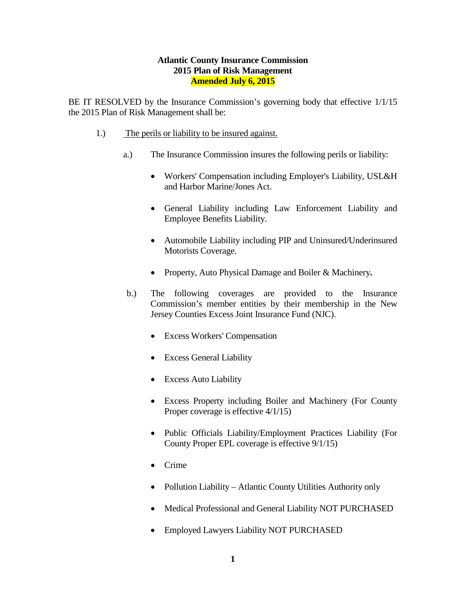### **Atlantic County Insurance Commission 2015 Plan of Risk Management Amended July 6, 2015**

BE IT RESOLVED by the Insurance Commission's governing body that effective 1/1/15 the 2015 Plan of Risk Management shall be:

- 1.) The perils or liability to be insured against.
	- a.) The Insurance Commission insures the following perils or liability:
		- Workers' Compensation including Employer's Liability, USL&H and Harbor Marine/Jones Act.
		- General Liability including Law Enforcement Liability and Employee Benefits Liability.
		- Automobile Liability including PIP and Uninsured/Underinsured Motorists Coverage.
		- Property, Auto Physical Damage and Boiler & Machinery**.**
	- b.) The following coverages are provided to the Insurance Commission's member entities by their membership in the New Jersey Counties Excess Joint Insurance Fund (NJC).
		- Excess Workers' Compensation
		- Excess General Liability
		- Excess Auto Liability
		- Excess Property including Boiler and Machinery (For County Proper coverage is effective  $4/1/15$ )
		- Public Officials Liability/Employment Practices Liability (For County Proper EPL coverage is effective 9/1/15)
		- Crime
		- Pollution Liability Atlantic County Utilities Authority only
		- Medical Professional and General Liability NOT PURCHASED
		- Employed Lawyers Liability NOT PURCHASED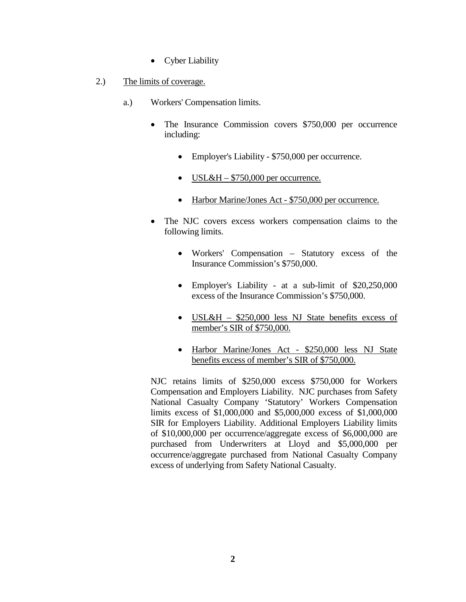- Cyber Liability
- 2.) The limits of coverage.
	- a.) Workers' Compensation limits.
		- The Insurance Commission covers \$750,000 per occurrence including:
			- Employer's Liability \$750,000 per occurrence.
			- USL&H  $$750,000$  per occurrence.
			- Harbor Marine/Jones Act \$750,000 per occurrence.
		- The NJC covers excess workers compensation claims to the following limits.
			- Workers' Compensation Statutory excess of the Insurance Commission's \$750,000.
			- Employer's Liability at a sub-limit of \$20,250,000 excess of the Insurance Commission's \$750,000.
			- USL&H \$250,000 less NJ State benefits excess of member's SIR of \$750,000.
			- Harbor Marine/Jones Act \$250,000 less NJ State benefits excess of member's SIR of \$750,000.

NJC retains limits of \$250,000 excess \$750,000 for Workers Compensation and Employers Liability. NJC purchases from Safety National Casualty Company 'Statutory' Workers Compensation limits excess of \$1,000,000 and \$5,000,000 excess of \$1,000,000 SIR for Employers Liability. Additional Employers Liability limits of \$10,000,000 per occurrence/aggregate excess of \$6,000,000 are purchased from Underwriters at Lloyd and \$5,000,000 per occurrence/aggregate purchased from National Casualty Company excess of underlying from Safety National Casualty.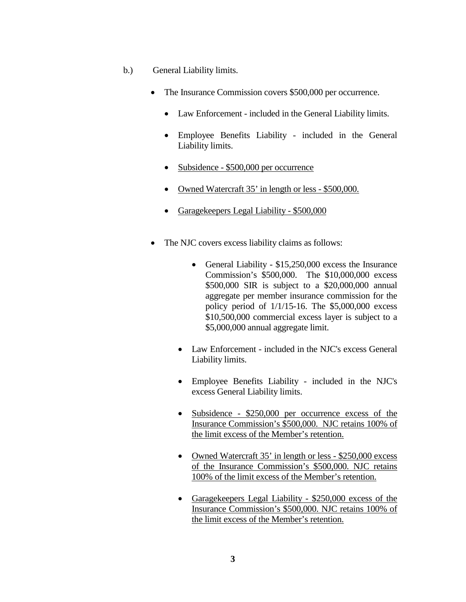- b.) General Liability limits.
	- The Insurance Commission covers \$500,000 per occurrence.
		- Law Enforcement included in the General Liability limits.
		- Employee Benefits Liability included in the General Liability limits.
		- Subsidence \$500,000 per occurrence
		- Owned Watercraft 35' in length or less \$500,000.
		- Garagekeepers Legal Liability \$500,000
	- The NJC covers excess liability claims as follows:
		- General Liability \$15,250,000 excess the Insurance Commission's \$500,000. The \$10,000,000 excess \$500,000 SIR is subject to a \$20,000,000 annual aggregate per member insurance commission for the policy period of 1/1/15-16. The \$5,000,000 excess \$10,500,000 commercial excess layer is subject to a \$5,000,000 annual aggregate limit.
		- Law Enforcement included in the NJC's excess General Liability limits.
		- Employee Benefits Liability included in the NJC's excess General Liability limits.
		- Subsidence \$250,000 per occurrence excess of the Insurance Commission's \$500,000. NJC retains 100% of the limit excess of the Member's retention.
		- Owned Watercraft 35' in length or less \$250,000 excess of the Insurance Commission's \$500,000. NJC retains 100% of the limit excess of the Member's retention.
		- Garagekeepers Legal Liability \$250,000 excess of the Insurance Commission's \$500,000. NJC retains 100% of the limit excess of the Member's retention.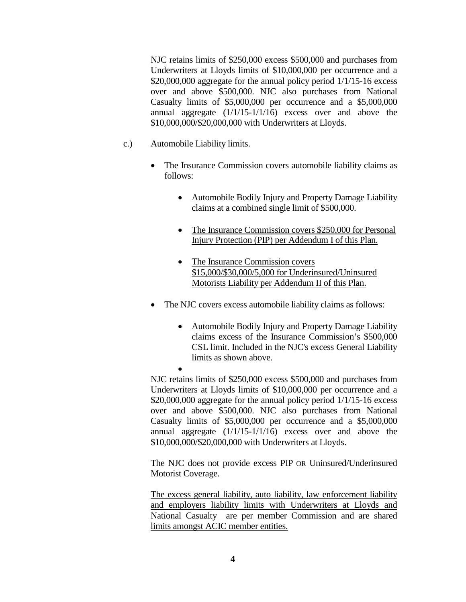NJC retains limits of \$250,000 excess \$500,000 and purchases from Underwriters at Lloyds limits of \$10,000,000 per occurrence and a \$20,000,000 aggregate for the annual policy period 1/1/15-16 excess over and above \$500,000. NJC also purchases from National Casualty limits of \$5,000,000 per occurrence and a \$5,000,000 annual aggregate  $(1/1/15-1/1/16)$  excess over and above the \$10,000,000/\$20,000,000 with Underwriters at Lloyds.

- c.) Automobile Liability limits.
	- The Insurance Commission covers automobile liability claims as follows:
		- Automobile Bodily Injury and Property Damage Liability claims at a combined single limit of \$500,000.
		- The Insurance Commission covers \$250,000 for Personal Injury Protection (PIP) per Addendum I of this Plan.
		- The Insurance Commission covers \$15,000/\$30,000/5,000 for Underinsured/Uninsured Motorists Liability per Addendum II of this Plan.
	- The NJC covers excess automobile liability claims as follows:
		- Automobile Bodily Injury and Property Damage Liability claims excess of the Insurance Commission's \$500,000 CSL limit. Included in the NJC's excess General Liability limits as shown above.

• NJC retains limits of \$250,000 excess \$500,000 and purchases from Underwriters at Lloyds limits of \$10,000,000 per occurrence and a \$20,000,000 aggregate for the annual policy period 1/1/15-16 excess over and above \$500,000. NJC also purchases from National Casualty limits of \$5,000,000 per occurrence and a \$5,000,000 annual aggregate  $(1/1/15-1/1/16)$  excess over and above the \$10,000,000/\$20,000,000 with Underwriters at Lloyds.

The NJC does not provide excess PIP OR Uninsured/Underinsured Motorist Coverage.

The excess general liability, auto liability, law enforcement liability and employers liability limits with Underwriters at Lloyds and National Casualty are per member Commission and are shared limits amongst ACIC member entities.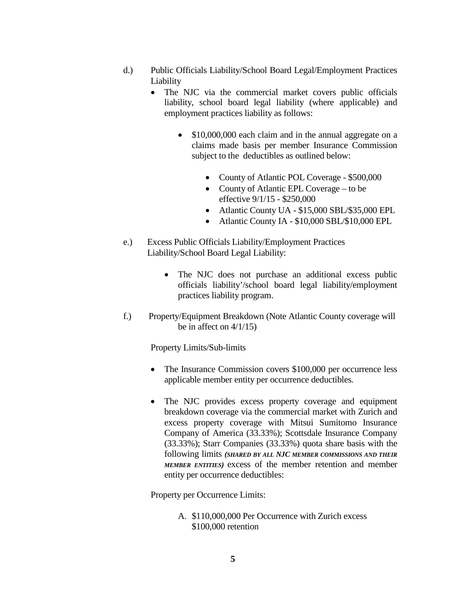- d.) Public Officials Liability/School Board Legal/Employment Practices Liability
	- The NJC via the commercial market covers public officials liability, school board legal liability (where applicable) and employment practices liability as follows:
		- \$10,000,000 each claim and in the annual aggregate on a claims made basis per member Insurance Commission subject to the deductibles as outlined below:
			- County of Atlantic POL Coverage \$500,000
			- County of Atlantic EPL Coverage to be effective 9/1/15 - \$250,000
			- Atlantic County UA \$15,000 SBL/\$35,000 EPL
			- Atlantic County IA \$10,000 SBL/\$10,000 EPL
- e.) Excess Public Officials Liability/Employment Practices Liability/School Board Legal Liability:
	- The NJC does not purchase an additional excess public officials liability'/school board legal liability/employment practices liability program.
- f.) Property/Equipment Breakdown (Note Atlantic County coverage will be in affect on  $4/1/15$ )

Property Limits/Sub-limits

- The Insurance Commission covers \$100,000 per occurrence less applicable member entity per occurrence deductibles*.*
- The NJC provides excess property coverage and equipment breakdown coverage via the commercial market with Zurich and excess property coverage with Mitsui Sumitomo Insurance Company of America (33.33%); Scottsdale Insurance Company (33.33%); Starr Companies (33.33%) quota share basis with the following limits *(SHARED BY ALL NJC MEMBER COMMISSIONS AND THEIR MEMBER ENTITIES)* excess of the member retention and member entity per occurrence deductibles:

Property per Occurrence Limits:

A. \$110,000,000 Per Occurrence with Zurich excess \$100,000 retention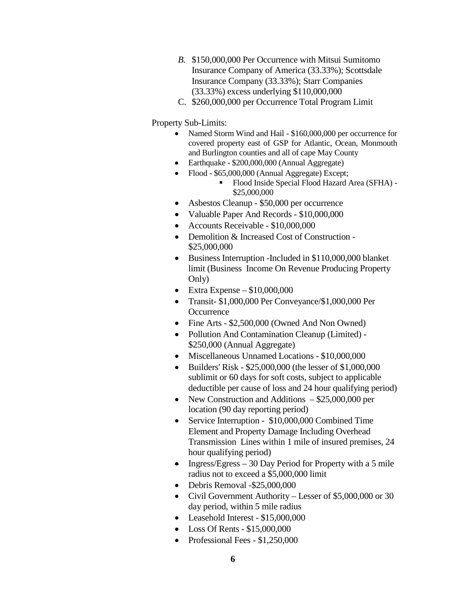- *B.* \$150,000,000 Per Occurrence with Mitsui Sumitomo Insurance Company of America (33.33%); Scottsdale Insurance Company (33.33%); Starr Companies (33.33%) excess underlying \$110,000,000
- C. \$260,000,000 per Occurrence Total Program Limit

Property Sub-Limits:

- Named Storm Wind and Hail \$160,000,000 per occurrence for covered property east of GSP for Atlantic, Ocean, Monmouth and Burlington counties and all of cape May County
- Earthquake \$200,000,000 (Annual Aggregate)
	- Flood \$65,000,000 (Annual Aggregate) Except;
		- Flood Inside Special Flood Hazard Area (SFHA) \$25,000,000
- Asbestos Cleanup \$50,000 per occurrence
- Valuable Paper And Records \$10,000,000
- Accounts Receivable \$10,000,000
- Demolition & Increased Cost of Construction -\$25,000,000
- Business Interruption -Included in \$110,000,000 blanket limit (Business Income On Revenue Producing Property Only)
- Extra Expense  $$10,000,000$
- Transit- \$1,000,000 Per Conveyance/\$1,000,000 Per **Occurrence**
- Fine Arts \$2,500,000 (Owned And Non Owned)
- Pollution And Contamination Cleanup (Limited) \$250,000 (Annual Aggregate)
- Miscellaneous Unnamed Locations \$10,000,000
- Builders' Risk \$25,000,000 (the lesser of \$1,000,000 sublimit or 60 days for soft costs, subject to applicable deductible per cause of loss and 24 hour qualifying period)
- New Construction and Additions \$25,000,000 per location (90 day reporting period)
- Service Interruption \$10,000,000 Combined Time Element and Property Damage Including Overhead Transmission Lines within 1 mile of insured premises, 24 hour qualifying period)
- Ingress/Egress  $-30$  Day Period for Property with a 5 mile radius not to exceed a \$5,000,000 limit
- Debris Removal -\$25,000,000
- Civil Government Authority Lesser of \$5,000,000 or 30 day period, within 5 mile radius
- Leasehold Interest \$15,000,000
- Loss Of Rents \$15,000,000
- Professional Fees \$1,250,000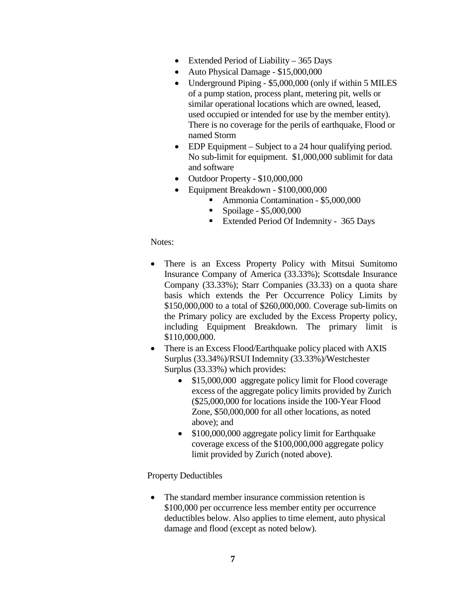- Extended Period of Liability 365 Days
- Auto Physical Damage \$15,000,000
- Underground Piping \$5,000,000 (only if within 5 MILES of a pump station, process plant, metering pit, wells or similar operational locations which are owned, leased, used occupied or intended for use by the member entity). There is no coverage for the perils of earthquake, Flood or named Storm
- EDP Equipment Subject to a 24 hour qualifying period. No sub-limit for equipment. \$1,000,000 sublimit for data and software
- Outdoor Property \$10,000,000
- Equipment Breakdown \$100,000,000
	- Ammonia Contamination \$5,000,000
	- $\blacksquare$  Spoilage \$5,000,000
	- **Extended Period Of Indemnity 365 Days**

#### Notes:

- There is an Excess Property Policy with Mitsui Sumitomo Insurance Company of America (33.33%); Scottsdale Insurance Company (33.33%); Starr Companies (33.33) on a quota share basis which extends the Per Occurrence Policy Limits by \$150,000,000 to a total of \$260,000,000. Coverage sub-limits on the Primary policy are excluded by the Excess Property policy, including Equipment Breakdown. The primary limit is \$110,000,000.
- There is an Excess Flood/Earthquake policy placed with AXIS Surplus (33.34%)/RSUI Indemnity (33.33%)/Westchester Surplus (33.33%) which provides:
	- \$15,000,000 aggregate policy limit for Flood coverage excess of the aggregate policy limits provided by Zurich (\$25,000,000 for locations inside the 100-Year Flood Zone, \$50,000,000 for all other locations, as noted above); and
	- \$100,000,000 aggregate policy limit for Earthquake coverage excess of the \$100,000,000 aggregate policy limit provided by Zurich (noted above).

### Property Deductibles

• The standard member insurance commission retention is \$100,000 per occurrence less member entity per occurrence deductibles below. Also applies to time element, auto physical damage and flood (except as noted below).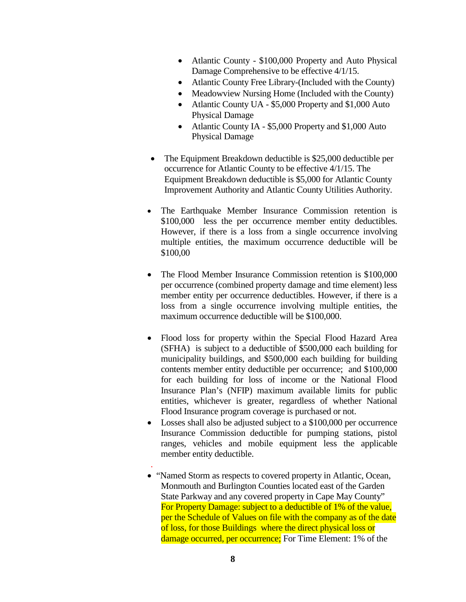- Atlantic County \$100,000 Property and Auto Physical Damage Comprehensive to be effective 4/1/15.
- Atlantic County Free Library-(Included with the County)
- Meadowview Nursing Home (Included with the County)
- Atlantic County UA \$5,000 Property and \$1,000 Auto Physical Damage
- Atlantic County IA \$5,000 Property and \$1,000 Auto Physical Damage
- The Equipment Breakdown deductible is \$25,000 deductible per occurrence for Atlantic County to be effective 4/1/15. The Equipment Breakdown deductible is \$5,000 for Atlantic County Improvement Authority and Atlantic County Utilities Authority.
- The Earthquake Member Insurance Commission retention is \$100,000 less the per occurrence member entity deductibles. However, if there is a loss from a single occurrence involving multiple entities, the maximum occurrence deductible will be \$100,00
- The Flood Member Insurance Commission retention is \$100,000 per occurrence (combined property damage and time element) less member entity per occurrence deductibles. However, if there is a loss from a single occurrence involving multiple entities, the maximum occurrence deductible will be \$100,000.
- Flood loss for property within the Special Flood Hazard Area (SFHA) is subject to a deductible of \$500,000 each building for municipality buildings, and \$500,000 each building for building contents member entity deductible per occurrence; and \$100,000 for each building for loss of income or the National Flood Insurance Plan's (NFIP) maximum available limits for public entities, whichever is greater, regardless of whether National Flood Insurance program coverage is purchased or not.
- Losses shall also be adjusted subject to a \$100,000 per occurrence Insurance Commission deductible for pumping stations, pistol ranges, vehicles and mobile equipment less the applicable member entity deductible.
- . • "Named Storm as respects to covered property in Atlantic, Ocean, Monmouth and Burlington Counties located east of the Garden State Parkway and any covered property in Cape May County" For Property Damage: subject to a deductible of 1% of the value, per the Schedule of Values on file with the company as of the date of loss, for those Buildings where the direct physical loss or damage occurred, per occurrence; For Time Element: 1% of the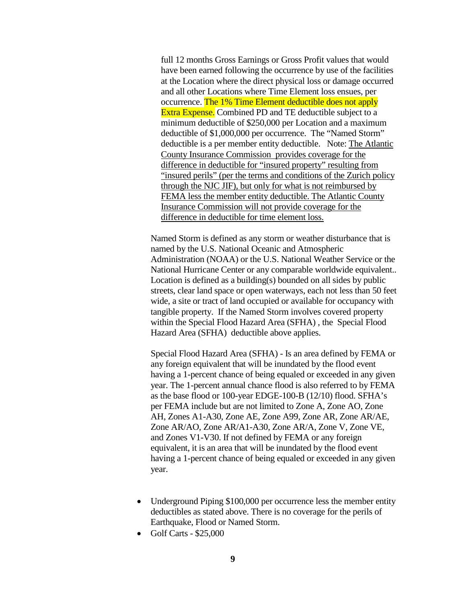full 12 months Gross Earnings or Gross Profit values that would have been earned following the occurrence by use of the facilities at the Location where the direct physical loss or damage occurred and all other Locations where Time Element loss ensues, per occurrence. The 1% Time Element deductible does not apply **Extra Expense.** Combined PD and TE deductible subject to a minimum deductible of \$250,000 per Location and a maximum deductible of \$1,000,000 per occurrence. The "Named Storm" deductible is a per member entity deductible. Note: The Atlantic County Insurance Commission provides coverage for the difference in deductible for "insured property" resulting from "insured perils" (per the terms and conditions of the Zurich policy through the NJC JIF), but only for what is not reimbursed by FEMA less the member entity deductible. The Atlantic County Insurance Commission will not provide coverage for the difference in deductible for time element loss.

Named Storm is defined as any storm or weather disturbance that is named by the U.S. National Oceanic and Atmospheric Administration (NOAA) or the U.S. National Weather Service or the National Hurricane Center or any comparable worldwide equivalent.. Location is defined as a building(s) bounded on all sides by public streets, clear land space or open waterways, each not less than 50 feet wide, a site or tract of land occupied or available for occupancy with tangible property. If the Named Storm involves covered property within the Special Flood Hazard Area (SFHA) , the Special Flood Hazard Area (SFHA) deductible above applies.

Special Flood Hazard Area (SFHA) - Is an area defined by FEMA or any foreign equivalent that will be inundated by the flood event having a 1-percent chance of being equaled or exceeded in any given year. The 1-percent annual chance flood is also referred to by FEMA as the base flood or 100-year EDGE-100-B (12/10) flood. SFHA's per FEMA include but are not limited to Zone A, Zone AO, Zone AH, Zones A1-A30, Zone AE, Zone A99, Zone AR, Zone AR/AE, Zone AR/AO, Zone AR/A1-A30, Zone AR/A, Zone V, Zone VE, and Zones V1-V30. If not defined by FEMA or any foreign equivalent, it is an area that will be inundated by the flood event having a 1-percent chance of being equaled or exceeded in any given year.

- Underground Piping \$100,000 per occurrence less the member entity deductibles as stated above. There is no coverage for the perils of Earthquake, Flood or Named Storm.
- Golf Carts \$25,000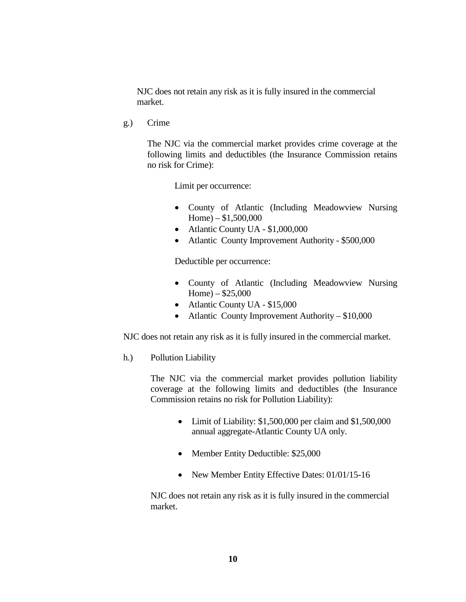NJC does not retain any risk as it is fully insured in the commercial market.

g.) Crime

The NJC via the commercial market provides crime coverage at the following limits and deductibles (the Insurance Commission retains no risk for Crime):

Limit per occurrence:

- County of Atlantic (Including Meadowview Nursing Home) –  $$1,500,000$
- Atlantic County UA \$1,000,000
- Atlantic County Improvement Authority \$500,000

Deductible per occurrence:

- County of Atlantic (Including Meadowview Nursing Home) – \$25,000
- Atlantic County UA \$15,000
- Atlantic County Improvement Authority \$10,000

NJC does not retain any risk as it is fully insured in the commercial market.

h.) Pollution Liability

The NJC via the commercial market provides pollution liability coverage at the following limits and deductibles (the Insurance Commission retains no risk for Pollution Liability):

- Limit of Liability: \$1,500,000 per claim and \$1,500,000 annual aggregate-Atlantic County UA only.
- Member Entity Deductible: \$25,000
- New Member Entity Effective Dates: 01/01/15-16

NJC does not retain any risk as it is fully insured in the commercial market.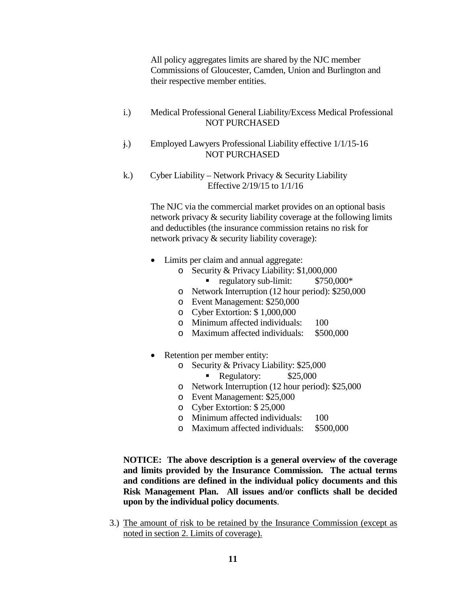All policy aggregates limits are shared by the NJC member Commissions of Gloucester, Camden, Union and Burlington and their respective member entities.

- i.) Medical Professional General Liability/Excess Medical Professional NOT PURCHASED
- j.) Employed Lawyers Professional Liability effective 1/1/15-16 NOT PURCHASED
- k.) Cyber Liability Network Privacy & Security Liability Effective 2/19/15 to 1/1/16

The NJC via the commercial market provides on an optional basis network privacy & security liability coverage at the following limits and deductibles (the insurance commission retains no risk for network privacy & security liability coverage):

- Limits per claim and annual aggregate:
	- o Security & Privacy Liability: \$1,000,000<br>
	 regulatory sub-limit: \$750,000\*
		- regulatory sub-limit:
	- o Network Interruption (12 hour period): \$250,000
	- o Event Management: \$250,000
	- o Cyber Extortion: \$ 1,000,000
	- o Minimum affected individuals: 100
	- o Maximum affected individuals: \$500,000
- Retention per member entity:
	- o Security & Privacy Liability: \$25,000<br>Regulatory: \$25,000
		- Regulatory:
	- o Network Interruption (12 hour period): \$25,000
	- o Event Management: \$25,000
	- o Cyber Extortion: \$ 25,000
	- o Minimum affected individuals: 100<br>
	o Maximum affected individuals: \$500,000
	- o Maximum affected individuals:

**NOTICE: The above description is a general overview of the coverage and limits provided by the Insurance Commission. The actual terms and conditions are defined in the individual policy documents and this Risk Management Plan. All issues and/or conflicts shall be decided upon by the individual policy documents**.

3.) The amount of risk to be retained by the Insurance Commission (except as noted in section 2. Limits of coverage).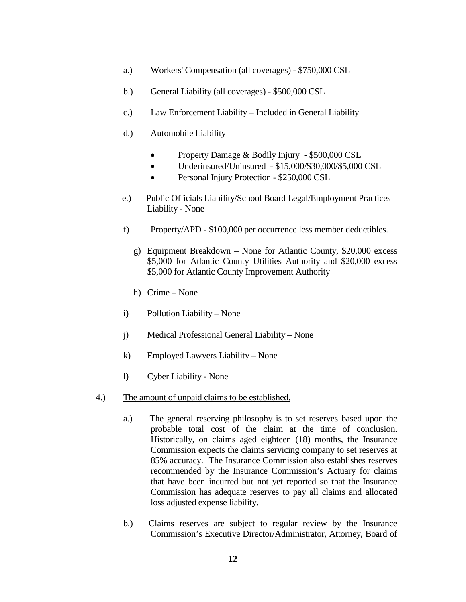- a.) Workers' Compensation (all coverages) \$750,000 CSL
- b.) General Liability (all coverages) \$500,000 CSL
- c.) Law Enforcement Liability Included in General Liability
- d.) Automobile Liability
	- Property Damage & Bodily Injury \$500,000 CSL
	- Underinsured/Uninsured \$15,000/\$30,000/\$5,000 CSL
	- Personal Injury Protection \$250,000 CSL
- e.) Public Officials Liability/School Board Legal/Employment Practices Liability - None
- f) Property/APD \$100,000 per occurrence less member deductibles.
	- g) Equipment Breakdown None for Atlantic County, \$20,000 excess \$5,000 for Atlantic County Utilities Authority and \$20,000 excess \$5,000 for Atlantic County Improvement Authority
	- h) Crime None
- i) Pollution Liability None
- j) Medical Professional General Liability None
- k) Employed Lawyers Liability None
- l) Cyber Liability None
- 4.) The amount of unpaid claims to be established.
	- a.) The general reserving philosophy is to set reserves based upon the probable total cost of the claim at the time of conclusion. Historically, on claims aged eighteen (18) months, the Insurance Commission expects the claims servicing company to set reserves at 85% accuracy. The Insurance Commission also establishes reserves recommended by the Insurance Commission's Actuary for claims that have been incurred but not yet reported so that the Insurance Commission has adequate reserves to pay all claims and allocated loss adjusted expense liability.
	- b.) Claims reserves are subject to regular review by the Insurance Commission's Executive Director/Administrator, Attorney, Board of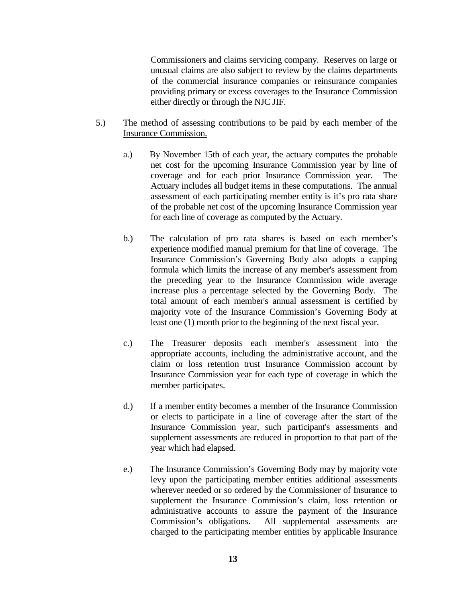Commissioners and claims servicing company. Reserves on large or unusual claims are also subject to review by the claims departments of the commercial insurance companies or reinsurance companies providing primary or excess coverages to the Insurance Commission either directly or through the NJC JIF.

- 5.) The method of assessing contributions to be paid by each member of the Insurance Commission.
	- a.) By November 15th of each year, the actuary computes the probable net cost for the upcoming Insurance Commission year by line of coverage and for each prior Insurance Commission year. The Actuary includes all budget items in these computations. The annual assessment of each participating member entity is it's pro rata share of the probable net cost of the upcoming Insurance Commission year for each line of coverage as computed by the Actuary.
	- b.) The calculation of pro rata shares is based on each member's experience modified manual premium for that line of coverage. The Insurance Commission's Governing Body also adopts a capping formula which limits the increase of any member's assessment from the preceding year to the Insurance Commission wide average increase plus a percentage selected by the Governing Body. The total amount of each member's annual assessment is certified by majority vote of the Insurance Commission's Governing Body at least one (1) month prior to the beginning of the next fiscal year.
	- c.) The Treasurer deposits each member's assessment into the appropriate accounts, including the administrative account, and the claim or loss retention trust Insurance Commission account by Insurance Commission year for each type of coverage in which the member participates.
	- d.) If a member entity becomes a member of the Insurance Commission or elects to participate in a line of coverage after the start of the Insurance Commission year, such participant's assessments and supplement assessments are reduced in proportion to that part of the year which had elapsed.
	- e.) The Insurance Commission's Governing Body may by majority vote levy upon the participating member entities additional assessments wherever needed or so ordered by the Commissioner of Insurance to supplement the Insurance Commission's claim, loss retention or administrative accounts to assure the payment of the Insurance Commission's obligations. All supplemental assessments are charged to the participating member entities by applicable Insurance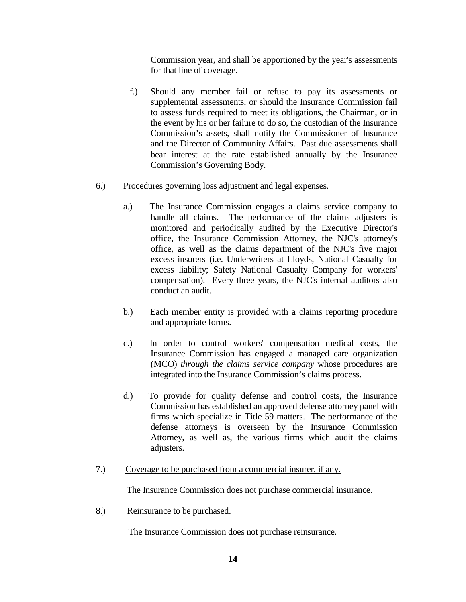Commission year, and shall be apportioned by the year's assessments for that line of coverage.

f.) Should any member fail or refuse to pay its assessments or supplemental assessments, or should the Insurance Commission fail to assess funds required to meet its obligations, the Chairman, or in the event by his or her failure to do so, the custodian of the Insurance Commission's assets, shall notify the Commissioner of Insurance and the Director of Community Affairs. Past due assessments shall bear interest at the rate established annually by the Insurance Commission's Governing Body.

### 6.) Procedures governing loss adjustment and legal expenses.

- a.) The Insurance Commission engages a claims service company to handle all claims. The performance of the claims adjusters is monitored and periodically audited by the Executive Director's office, the Insurance Commission Attorney, the NJC's attorney's office, as well as the claims department of the NJC's five major excess insurers (i.e. Underwriters at Lloyds, National Casualty for excess liability; Safety National Casualty Company for workers' compensation). Every three years, the NJC's internal auditors also conduct an audit.
- b.) Each member entity is provided with a claims reporting procedure and appropriate forms.
- c.) In order to control workers' compensation medical costs, the Insurance Commission has engaged a managed care organization (MCO) *through the claims service company* whose procedures are integrated into the Insurance Commission's claims process.
- d.) To provide for quality defense and control costs, the Insurance Commission has established an approved defense attorney panel with firms which specialize in Title 59 matters. The performance of the defense attorneys is overseen by the Insurance Commission Attorney, as well as, the various firms which audit the claims adjusters.
- 7.) Coverage to be purchased from a commercial insurer, if any.

The Insurance Commission does not purchase commercial insurance.

8.) Reinsurance to be purchased.

The Insurance Commission does not purchase reinsurance.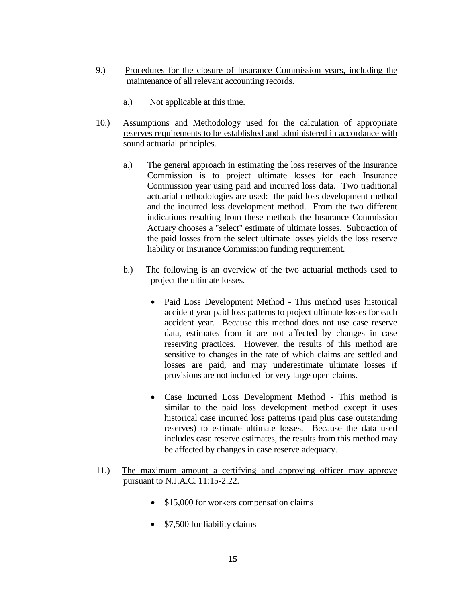- 9.) Procedures for the closure of Insurance Commission years, including the maintenance of all relevant accounting records.
	- a.) Not applicable at this time.
- 10.) Assumptions and Methodology used for the calculation of appropriate reserves requirements to be established and administered in accordance with sound actuarial principles.
	- a.) The general approach in estimating the loss reserves of the Insurance Commission is to project ultimate losses for each Insurance Commission year using paid and incurred loss data. Two traditional actuarial methodologies are used: the paid loss development method and the incurred loss development method. From the two different indications resulting from these methods the Insurance Commission Actuary chooses a "select" estimate of ultimate losses. Subtraction of the paid losses from the select ultimate losses yields the loss reserve liability or Insurance Commission funding requirement.
	- b.) The following is an overview of the two actuarial methods used to project the ultimate losses.
		- Paid Loss Development Method This method uses historical accident year paid loss patterns to project ultimate losses for each accident year. Because this method does not use case reserve data, estimates from it are not affected by changes in case reserving practices. However, the results of this method are sensitive to changes in the rate of which claims are settled and losses are paid, and may underestimate ultimate losses if provisions are not included for very large open claims.
		- Case Incurred Loss Development Method This method is similar to the paid loss development method except it uses historical case incurred loss patterns (paid plus case outstanding reserves) to estimate ultimate losses. Because the data used includes case reserve estimates, the results from this method may be affected by changes in case reserve adequacy.

### 11.)The maximum amount a certifying and approving officer may approve pursuant to N.J.A.C. 11:15-2.22.

- \$15,000 for workers compensation claims
- \$7,500 for liability claims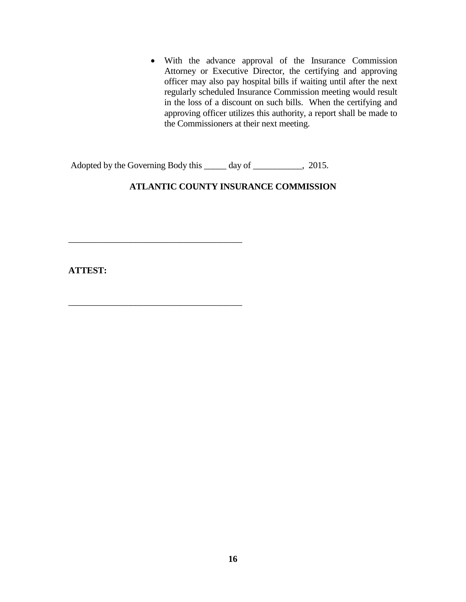• With the advance approval of the Insurance Commission Attorney or Executive Director, the certifying and approving officer may also pay hospital bills if waiting until after the next regularly scheduled Insurance Commission meeting would result in the loss of a discount on such bills. When the certifying and approving officer utilizes this authority, a report shall be made to the Commissioners at their next meeting.

Adopted by the Governing Body this \_\_\_\_\_ day of \_\_\_\_\_\_\_\_\_, 2015.

 $\overline{\phantom{a}}$  , where the contract of the contract of the contract of the contract of the contract of the contract of the contract of the contract of the contract of the contract of the contract of the contract of the contr

 $\overline{\phantom{a}}$  , where the contract of the contract of the contract of the contract of the contract of the contract of the contract of the contract of the contract of the contract of the contract of the contract of the contr

# **ATLANTIC COUNTY INSURANCE COMMISSION**

**ATTEST:**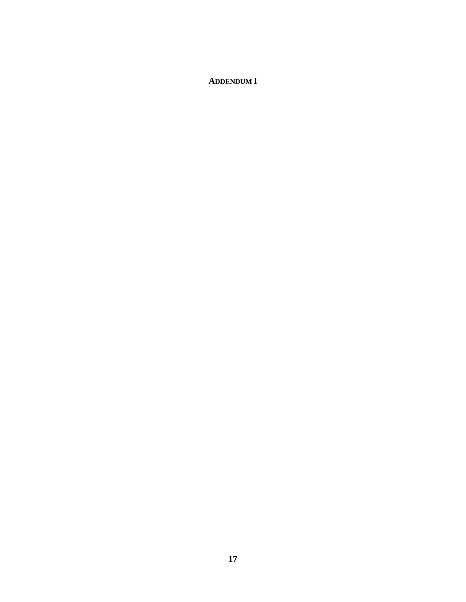# **ADDENDUM I**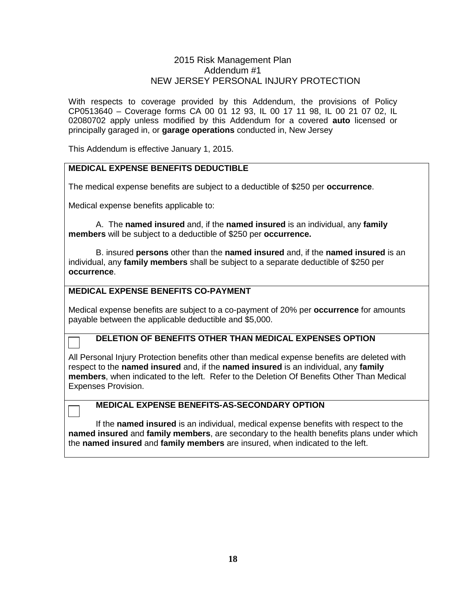### 2015 Risk Management Plan Addendum #1 NEW JERSEY PERSONAL INJURY PROTECTION

With respects to coverage provided by this Addendum, the provisions of Policy CP0513640 – Coverage forms CA 00 01 12 93, IL 00 17 11 98, IL 00 21 07 02, IL 02080702 apply unless modified by this Addendum for a covered **auto** licensed or principally garaged in, or **garage operations** conducted in, New Jersey

This Addendum is effective January 1, 2015.

## **MEDICAL EXPENSE BENEFITS DEDUCTIBLE**

The medical expense benefits are subject to a deductible of \$250 per **occurrence**.

Medical expense benefits applicable to:

A. The **named insured** and, if the **named insured** is an individual, any **family members** will be subject to a deductible of \$250 per **occurrence.**

B. insured **persons** other than the **named insured** and, if the **named insured** is an individual, any **family members** shall be subject to a separate deductible of \$250 per **occurrence**.

### **MEDICAL EXPENSE BENEFITS CO-PAYMENT**

Medical expense benefits are subject to a co-payment of 20% per **occurrence** for amounts payable between the applicable deductible and \$5,000.

### **DELETION OF BENEFITS OTHER THAN MEDICAL EXPENSES OPTION**

All Personal Injury Protection benefits other than medical expense benefits are deleted with respect to the **named insured** and, if the **named insured** is an individual, any **family members**, when indicated to the left. Refer to the Deletion Of Benefits Other Than Medical Expenses Provision.

### **MEDICAL EXPENSE BENEFITS-AS-SECONDARY OPTION**

If the **named insured** is an individual, medical expense benefits with respect to the **named insured** and **family members**, are secondary to the health benefits plans under which the **named insured** and **family members** are insured, when indicated to the left.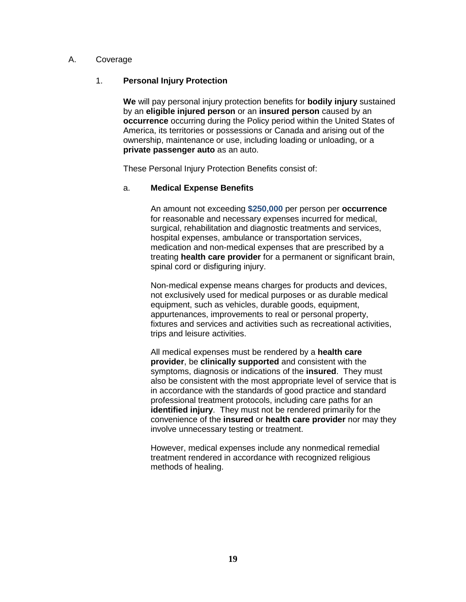#### A. Coverage

### 1. **Personal Injury Protection**

**We** will pay personal injury protection benefits for **bodily injury** sustained by an **eligible injured person** or an **insured person** caused by an **occurrence** occurring during the Policy period within the United States of America, its territories or possessions or Canada and arising out of the ownership, maintenance or use, including loading or unloading, or a **private passenger auto** as an auto.

These Personal Injury Protection Benefits consist of:

#### a. **Medical Expense Benefits**

An amount not exceeding **\$250,000** per person per **occurrence** for reasonable and necessary expenses incurred for medical, surgical, rehabilitation and diagnostic treatments and services, hospital expenses, ambulance or transportation services, medication and non-medical expenses that are prescribed by a treating **health care provider** for a permanent or significant brain, spinal cord or disfiguring injury.

Non-medical expense means charges for products and devices, not exclusively used for medical purposes or as durable medical equipment, such as vehicles, durable goods, equipment, appurtenances, improvements to real or personal property, fixtures and services and activities such as recreational activities, trips and leisure activities.

All medical expenses must be rendered by a **health care provider**, be **clinically supported** and consistent with the symptoms, diagnosis or indications of the **insured**. They must also be consistent with the most appropriate level of service that is in accordance with the standards of good practice and standard professional treatment protocols, including care paths for an **identified injury**. They must not be rendered primarily for the convenience of the **insured** or **health care provider** nor may they involve unnecessary testing or treatment.

However, medical expenses include any nonmedical remedial treatment rendered in accordance with recognized religious methods of healing.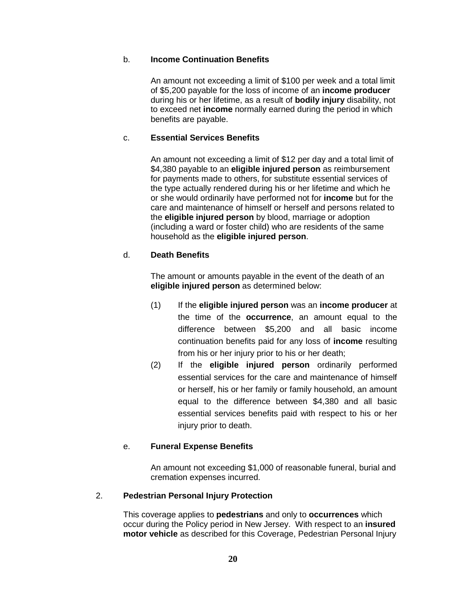#### b. **Income Continuation Benefits**

An amount not exceeding a limit of \$100 per week and a total limit of \$5,200 payable for the loss of income of an **income producer** during his or her lifetime, as a result of **bodily injury** disability, not to exceed net **income** normally earned during the period in which benefits are payable.

### c. **Essential Services Benefits**

An amount not exceeding a limit of \$12 per day and a total limit of \$4,380 payable to an **eligible injured person** as reimbursement for payments made to others, for substitute essential services of the type actually rendered during his or her lifetime and which he or she would ordinarily have performed not for **income** but for the care and maintenance of himself or herself and persons related to the **eligible injured person** by blood, marriage or adoption (including a ward or foster child) who are residents of the same household as the **eligible injured person**.

### d. **Death Benefits**

The amount or amounts payable in the event of the death of an **eligible injured person** as determined below:

- (1) If the **eligible injured person** was an **income producer** at the time of the **occurrence**, an amount equal to the difference between \$5,200 and all basic income continuation benefits paid for any loss of **income** resulting from his or her injury prior to his or her death;
- (2) If the **eligible injured person** ordinarily performed essential services for the care and maintenance of himself or herself, his or her family or family household, an amount equal to the difference between \$4,380 and all basic essential services benefits paid with respect to his or her injury prior to death.

### e. **Funeral Expense Benefits**

An amount not exceeding \$1,000 of reasonable funeral, burial and cremation expenses incurred.

### 2. **Pedestrian Personal Injury Protection**

This coverage applies to **pedestrians** and only to **occurrences** which occur during the Policy period in New Jersey. With respect to an **insured motor vehicle** as described for this Coverage, Pedestrian Personal Injury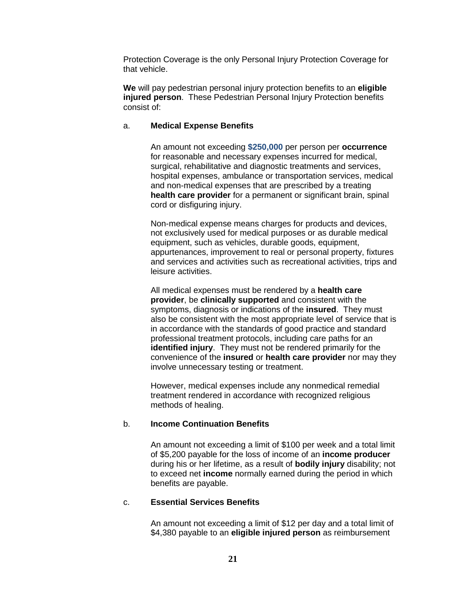Protection Coverage is the only Personal Injury Protection Coverage for that vehicle.

**We** will pay pedestrian personal injury protection benefits to an **eligible injured person**. These Pedestrian Personal Injury Protection benefits consist of:

#### a. **Medical Expense Benefits**

An amount not exceeding **\$250,000** per person per **occurrence** for reasonable and necessary expenses incurred for medical, surgical, rehabilitative and diagnostic treatments and services, hospital expenses, ambulance or transportation services, medical and non-medical expenses that are prescribed by a treating **health care provider** for a permanent or significant brain, spinal cord or disfiguring injury.

Non-medical expense means charges for products and devices, not exclusively used for medical purposes or as durable medical equipment, such as vehicles, durable goods, equipment, appurtenances, improvement to real or personal property, fixtures and services and activities such as recreational activities, trips and leisure activities.

All medical expenses must be rendered by a **health care provider**, be **clinically supported** and consistent with the symptoms, diagnosis or indications of the **insured**. They must also be consistent with the most appropriate level of service that is in accordance with the standards of good practice and standard professional treatment protocols, including care paths for an **identified injury**. They must not be rendered primarily for the convenience of the **insured** or **health care provider** nor may they involve unnecessary testing or treatment.

However, medical expenses include any nonmedical remedial treatment rendered in accordance with recognized religious methods of healing.

#### b. **Income Continuation Benefits**

An amount not exceeding a limit of \$100 per week and a total limit of \$5,200 payable for the loss of income of an **income producer** during his or her lifetime, as a result of **bodily injury** disability; not to exceed net **income** normally earned during the period in which benefits are payable.

#### c. **Essential Services Benefits**

An amount not exceeding a limit of \$12 per day and a total limit of \$4,380 payable to an **eligible injured person** as reimbursement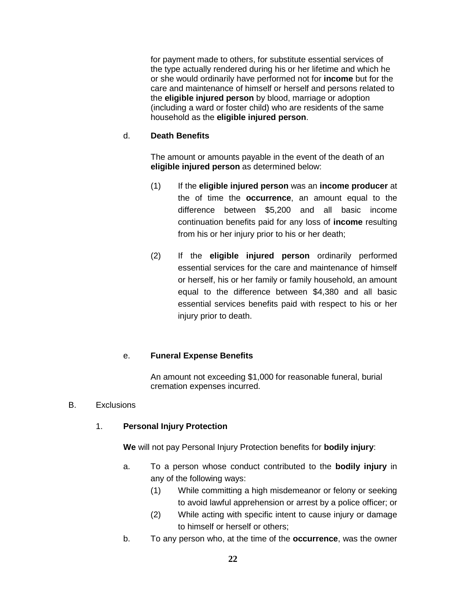for payment made to others, for substitute essential services of the type actually rendered during his or her lifetime and which he or she would ordinarily have performed not for **income** but for the care and maintenance of himself or herself and persons related to the **eligible injured person** by blood, marriage or adoption (including a ward or foster child) who are residents of the same household as the **eligible injured person**.

### d. **Death Benefits**

The amount or amounts payable in the event of the death of an **eligible injured person** as determined below:

- (1) If the **eligible injured person** was an **income producer** at the of time the **occurrence**, an amount equal to the difference between \$5,200 and all basic income continuation benefits paid for any loss of **income** resulting from his or her injury prior to his or her death;
- (2) If the **eligible injured person** ordinarily performed essential services for the care and maintenance of himself or herself, his or her family or family household, an amount equal to the difference between \$4,380 and all basic essential services benefits paid with respect to his or her injury prior to death.

## e. **Funeral Expense Benefits**

An amount not exceeding \$1,000 for reasonable funeral, burial cremation expenses incurred.

## B. Exclusions

## 1. **Personal Injury Protection**

**We** will not pay Personal Injury Protection benefits for **bodily injury**:

- a. To a person whose conduct contributed to the **bodily injury** in any of the following ways:
	- (1) While committing a high misdemeanor or felony or seeking to avoid lawful apprehension or arrest by a police officer; or
	- (2) While acting with specific intent to cause injury or damage to himself or herself or others;
- b. To any person who, at the time of the **occurrence**, was the owner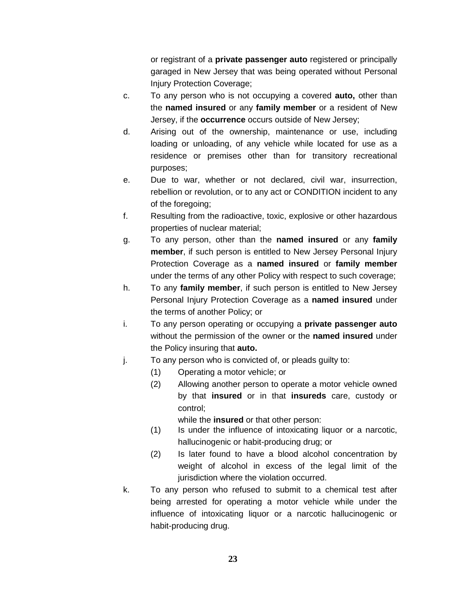or registrant of a **private passenger auto** registered or principally garaged in New Jersey that was being operated without Personal Injury Protection Coverage;

- c. To any person who is not occupying a covered **auto,** other than the **named insured** or any **family member** or a resident of New Jersey, if the **occurrence** occurs outside of New Jersey;
- d. Arising out of the ownership, maintenance or use, including loading or unloading, of any vehicle while located for use as a residence or premises other than for transitory recreational purposes;
- e. Due to war, whether or not declared, civil war, insurrection, rebellion or revolution, or to any act or CONDITION incident to any of the foregoing;
- f. Resulting from the radioactive, toxic, explosive or other hazardous properties of nuclear material;
- g. To any person, other than the **named insured** or any **family member**, if such person is entitled to New Jersey Personal Injury Protection Coverage as a **named insured** or **family member** under the terms of any other Policy with respect to such coverage;
- h. To any **family member**, if such person is entitled to New Jersey Personal Injury Protection Coverage as a **named insured** under the terms of another Policy; or
- i. To any person operating or occupying a **private passenger auto** without the permission of the owner or the **named insured** under the Policy insuring that **auto.**
- j. To any person who is convicted of, or pleads guilty to:
	- (1) Operating a motor vehicle; or
	- (2) Allowing another person to operate a motor vehicle owned by that **insured** or in that **insureds** care, custody or control;

while the **insured** or that other person:

- (1) Is under the influence of intoxicating liquor or a narcotic, hallucinogenic or habit-producing drug; or
- (2) Is later found to have a blood alcohol concentration by weight of alcohol in excess of the legal limit of the jurisdiction where the violation occurred.
- k. To any person who refused to submit to a chemical test after being arrested for operating a motor vehicle while under the influence of intoxicating liquor or a narcotic hallucinogenic or habit-producing drug.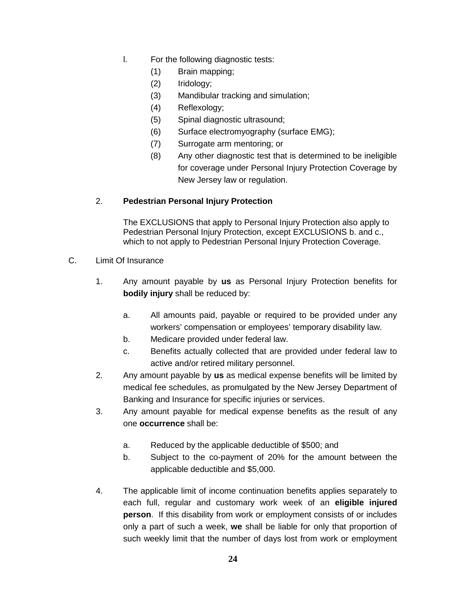- l. For the following diagnostic tests:
	- (1) Brain mapping;
	- (2) Iridology;
	- (3) Mandibular tracking and simulation;
	- (4) Reflexology;
	- (5) Spinal diagnostic ultrasound;
	- (6) Surface electromyography (surface EMG);
	- (7) Surrogate arm mentoring; or
	- (8) Any other diagnostic test that is determined to be ineligible for coverage under Personal Injury Protection Coverage by New Jersey law or regulation.

### 2. **Pedestrian Personal Injury Protection**

The EXCLUSIONS that apply to Personal Injury Protection also apply to Pedestrian Personal Injury Protection, except EXCLUSIONS b. and c., which to not apply to Pedestrian Personal Injury Protection Coverage.

- C. Limit Of Insurance
	- 1. Any amount payable by **us** as Personal Injury Protection benefits for **bodily injury** shall be reduced by:
		- a. All amounts paid, payable or required to be provided under any workers' compensation or employees' temporary disability law.
		- b. Medicare provided under federal law.
		- c. Benefits actually collected that are provided under federal law to active and/or retired military personnel.
	- 2. Any amount payable by **us** as medical expense benefits will be limited by medical fee schedules, as promulgated by the New Jersey Department of Banking and Insurance for specific injuries or services.
	- 3. Any amount payable for medical expense benefits as the result of any one **occurrence** shall be:
		- a. Reduced by the applicable deductible of \$500; and
		- b. Subject to the co-payment of 20% for the amount between the applicable deductible and \$5,000.
	- 4. The applicable limit of income continuation benefits applies separately to each full, regular and customary work week of an **eligible injured person**. If this disability from work or employment consists of or includes only a part of such a week, **we** shall be liable for only that proportion of such weekly limit that the number of days lost from work or employment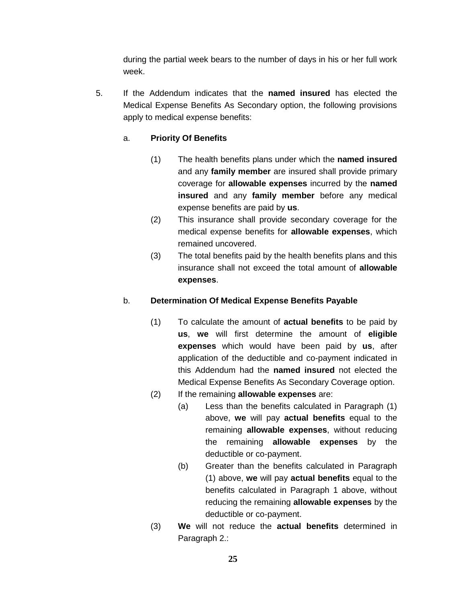during the partial week bears to the number of days in his or her full work week.

5. If the Addendum indicates that the **named insured** has elected the Medical Expense Benefits As Secondary option, the following provisions apply to medical expense benefits:

# a. **Priority Of Benefits**

- (1) The health benefits plans under which the **named insured** and any **family member** are insured shall provide primary coverage for **allowable expenses** incurred by the **named insured** and any **family member** before any medical expense benefits are paid by **us**.
- (2) This insurance shall provide secondary coverage for the medical expense benefits for **allowable expenses**, which remained uncovered.
- (3) The total benefits paid by the health benefits plans and this insurance shall not exceed the total amount of **allowable expenses**.

### b. **Determination Of Medical Expense Benefits Payable**

- (1) To calculate the amount of **actual benefits** to be paid by **us**, **we** will first determine the amount of **eligible expenses** which would have been paid by **us**, after application of the deductible and co-payment indicated in this Addendum had the **named insured** not elected the Medical Expense Benefits As Secondary Coverage option.
- (2) If the remaining **allowable expenses** are:
	- (a) Less than the benefits calculated in Paragraph (1) above, **we** will pay **actual benefits** equal to the remaining **allowable expenses**, without reducing the remaining **allowable expenses** by the deductible or co-payment.
	- (b) Greater than the benefits calculated in Paragraph (1) above, **we** will pay **actual benefits** equal to the benefits calculated in Paragraph 1 above, without reducing the remaining **allowable expenses** by the deductible or co-payment.
- (3) **We** will not reduce the **actual benefits** determined in Paragraph 2.: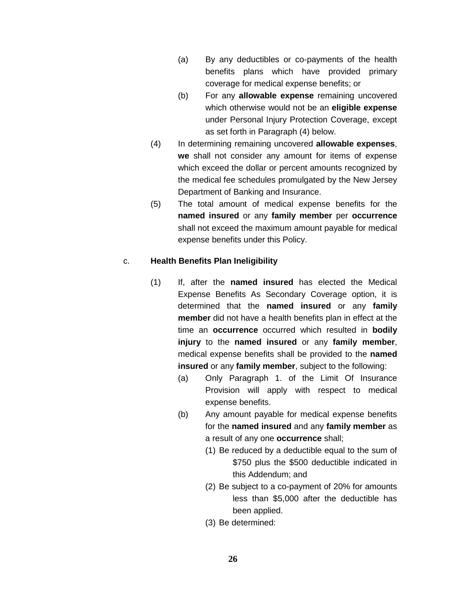- (a) By any deductibles or co-payments of the health benefits plans which have provided primary coverage for medical expense benefits; or
- (b) For any **allowable expense** remaining uncovered which otherwise would not be an **eligible expense** under Personal Injury Protection Coverage, except as set forth in Paragraph (4) below.
- (4) In determining remaining uncovered **allowable expenses**, **we** shall not consider any amount for items of expense which exceed the dollar or percent amounts recognized by the medical fee schedules promulgated by the New Jersey Department of Banking and Insurance.
- (5) The total amount of medical expense benefits for the **named insured** or any **family member** per **occurrence** shall not exceed the maximum amount payable for medical expense benefits under this Policy.

### c. **Health Benefits Plan Ineligibility**

- (1) If, after the **named insured** has elected the Medical Expense Benefits As Secondary Coverage option, it is determined that the **named insured** or any **family member** did not have a health benefits plan in effect at the time an **occurrence** occurred which resulted in **bodily injury** to the **named insured** or any **family member**, medical expense benefits shall be provided to the **named insured** or any **family member**, subject to the following:
	- (a) Only Paragraph 1. of the Limit Of Insurance Provision will apply with respect to medical expense benefits.
	- (b) Any amount payable for medical expense benefits for the **named insured** and any **family member** as a result of any one **occurrence** shall;
		- (1) Be reduced by a deductible equal to the sum of \$750 plus the \$500 deductible indicated in this Addendum; and
		- (2) Be subject to a co-payment of 20% for amounts less than \$5,000 after the deductible has been applied.
		- (3) Be determined: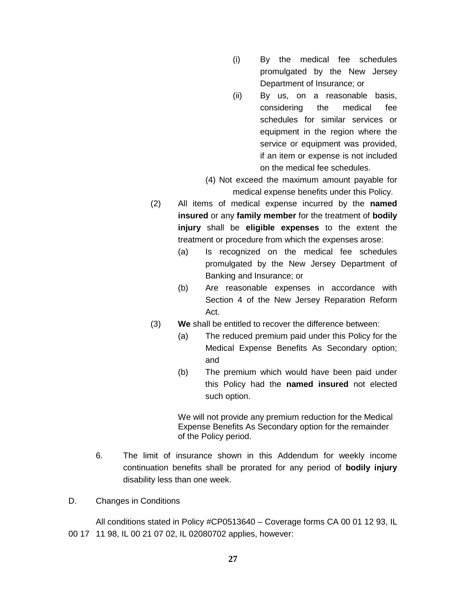- (i) By the medical fee schedules promulgated by the New Jersey Department of Insurance; or
- (ii) By us, on a reasonable basis, considering the medical fee schedules for similar services or equipment in the region where the service or equipment was provided, if an item or expense is not included on the medical fee schedules.
- (4) Not exceed the maximum amount payable for medical expense benefits under this Policy.
- (2) All items of medical expense incurred by the **named insured** or any **family member** for the treatment of **bodily injury** shall be **eligible expenses** to the extent the treatment or procedure from which the expenses arose:
	- (a) Is recognized on the medical fee schedules promulgated by the New Jersey Department of Banking and Insurance; or
	- (b) Are reasonable expenses in accordance with Section 4 of the New Jersey Reparation Reform Act.
- (3) **We** shall be entitled to recover the difference between:
	- (a) The reduced premium paid under this Policy for the Medical Expense Benefits As Secondary option; and
	- (b) The premium which would have been paid under this Policy had the **named insured** not elected such option.

We will not provide any premium reduction for the Medical Expense Benefits As Secondary option for the remainder of the Policy period.

- 6. The limit of insurance shown in this Addendum for weekly income continuation benefits shall be prorated for any period of **bodily injury** disability less than one week.
- D. Changes in Conditions

All conditions stated in Policy #CP0513640 – Coverage forms CA 00 01 12 93, IL 00 17 11 98, IL 00 21 07 02, IL 02080702 applies, however: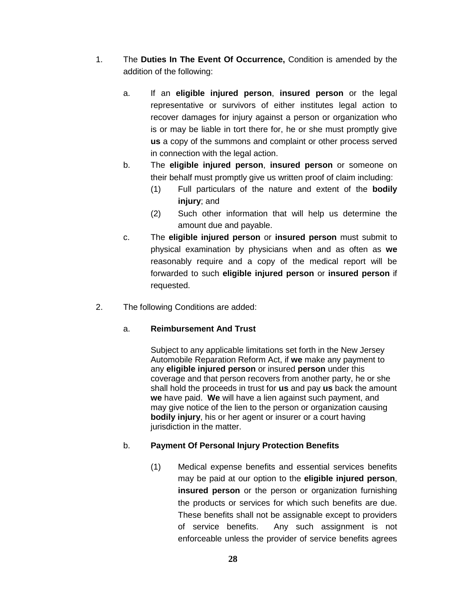- 1. The **Duties In The Event Of Occurrence,** Condition is amended by the addition of the following:
	- a. If an **eligible injured person**, **insured person** or the legal representative or survivors of either institutes legal action to recover damages for injury against a person or organization who is or may be liable in tort there for, he or she must promptly give **us** a copy of the summons and complaint or other process served in connection with the legal action.
	- b. The **eligible injured person**, **insured person** or someone on their behalf must promptly give us written proof of claim including:
		- (1) Full particulars of the nature and extent of the **bodily injury**; and
		- (2) Such other information that will help us determine the amount due and payable.
	- c. The **eligible injured person** or **insured person** must submit to physical examination by physicians when and as often as **we** reasonably require and a copy of the medical report will be forwarded to such **eligible injured person** or **insured person** if requested.
- 2. The following Conditions are added:

## a. **Reimbursement And Trust**

Subject to any applicable limitations set forth in the New Jersey Automobile Reparation Reform Act, if **we** make any payment to any **eligible injured person** or insured **person** under this coverage and that person recovers from another party, he or she shall hold the proceeds in trust for **us** and pay **us** back the amount **we** have paid. **We** will have a lien against such payment, and may give notice of the lien to the person or organization causing **bodily injury**, his or her agent or insurer or a court having jurisdiction in the matter.

## b. **Payment Of Personal Injury Protection Benefits**

(1) Medical expense benefits and essential services benefits may be paid at our option to the **eligible injured person**, **insured person** or the person or organization furnishing the products or services for which such benefits are due. These benefits shall not be assignable except to providers of service benefits. Any such assignment is not enforceable unless the provider of service benefits agrees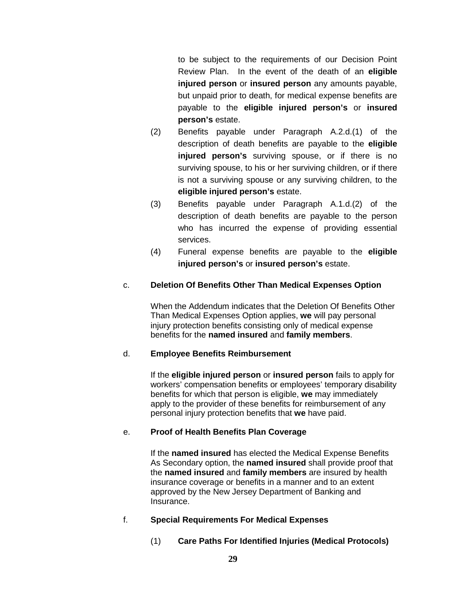to be subject to the requirements of our Decision Point Review Plan. In the event of the death of an **eligible injured person** or **insured person** any amounts payable, but unpaid prior to death, for medical expense benefits are payable to the **eligible injured person's** or **insured person's** estate.

- (2) Benefits payable under Paragraph A.2.d.(1) of the description of death benefits are payable to the **eligible injured person's** surviving spouse, or if there is no surviving spouse, to his or her surviving children, or if there is not a surviving spouse or any surviving children, to the **eligible injured person's** estate.
- (3) Benefits payable under Paragraph A.1.d.(2) of the description of death benefits are payable to the person who has incurred the expense of providing essential services.
- (4) Funeral expense benefits are payable to the **eligible injured person's** or **insured person's** estate.

## c. **Deletion Of Benefits Other Than Medical Expenses Option**

When the Addendum indicates that the Deletion Of Benefits Other Than Medical Expenses Option applies, **we** will pay personal injury protection benefits consisting only of medical expense benefits for the **named insured** and **family members**.

### d. **Employee Benefits Reimbursement**

If the **eligible injured person** or **insured person** fails to apply for workers' compensation benefits or employees' temporary disability benefits for which that person is eligible, **we** may immediately apply to the provider of these benefits for reimbursement of any personal injury protection benefits that **we** have paid.

## e. **Proof of Health Benefits Plan Coverage**

If the **named insured** has elected the Medical Expense Benefits As Secondary option, the **named insured** shall provide proof that the **named insured** and **family members** are insured by health insurance coverage or benefits in a manner and to an extent approved by the New Jersey Department of Banking and Insurance.

## f. **Special Requirements For Medical Expenses**

(1) **Care Paths For Identified Injuries (Medical Protocols)**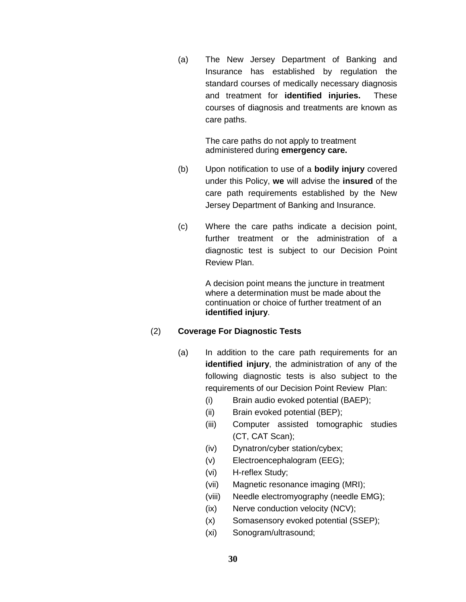(a) The New Jersey Department of Banking and Insurance has established by regulation the standard courses of medically necessary diagnosis and treatment for **identified injuries.** These courses of diagnosis and treatments are known as care paths.

> The care paths do not apply to treatment administered during **emergency care.**

- (b) Upon notification to use of a **bodily injury** covered under this Policy, **we** will advise the **insured** of the care path requirements established by the New Jersey Department of Banking and Insurance.
- (c) Where the care paths indicate a decision point, further treatment or the administration of a diagnostic test is subject to our Decision Point Review Plan.

A decision point means the juncture in treatment where a determination must be made about the continuation or choice of further treatment of an **identified injury**.

### (2) **Coverage For Diagnostic Tests**

- (a) In addition to the care path requirements for an **identified injury**, the administration of any of the following diagnostic tests is also subject to the requirements of our Decision Point Review Plan:
	- (i) Brain audio evoked potential (BAEP);
	- (ii) Brain evoked potential (BEP);
	- (iii) Computer assisted tomographic studies (CT, CAT Scan);
	- (iv) Dynatron/cyber station/cybex;
	- (v) Electroencephalogram (EEG);
	- (vi) H-reflex Study;
	- (vii) Magnetic resonance imaging (MRI);
	- (viii) Needle electromyography (needle EMG);
	- (ix) Nerve conduction velocity (NCV);
	- (x) Somasensory evoked potential (SSEP);
	- (xi) Sonogram/ultrasound;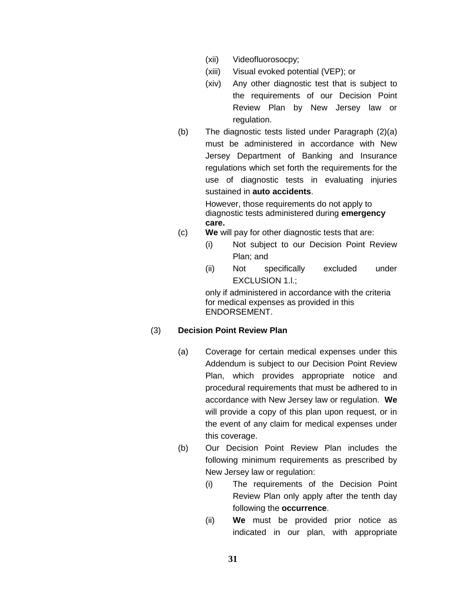- (xii) Videofluorosocpy;
- (xiii) Visual evoked potential (VEP); or
- (xiv) Any other diagnostic test that is subject to the requirements of our Decision Point Review Plan by New Jersey law or regulation.
- (b) The diagnostic tests listed under Paragraph (2)(a) must be administered in accordance with New Jersey Department of Banking and Insurance regulations which set forth the requirements for the use of diagnostic tests in evaluating injuries sustained in **auto accidents**.

However, those requirements do not apply to diagnostic tests administered during **emergency care.**

- (c) **We** will pay for other diagnostic tests that are:
	- (i) Not subject to our Decision Point Review Plan; and
	- (ii) Not specifically excluded under EXCLUSION 1.l.;

only if administered in accordance with the criteria for medical expenses as provided in this ENDORSEMENT.

### (3) **Decision Point Review Plan**

- (a) Coverage for certain medical expenses under this Addendum is subject to our Decision Point Review Plan, which provides appropriate notice and procedural requirements that must be adhered to in accordance with New Jersey law or regulation. **We** will provide a copy of this plan upon request, or in the event of any claim for medical expenses under this coverage.
- (b) Our Decision Point Review Plan includes the following minimum requirements as prescribed by New Jersey law or regulation:
	- (i) The requirements of the Decision Point Review Plan only apply after the tenth day following the **occurrence**.
	- (ii) **We** must be provided prior notice as indicated in our plan, with appropriate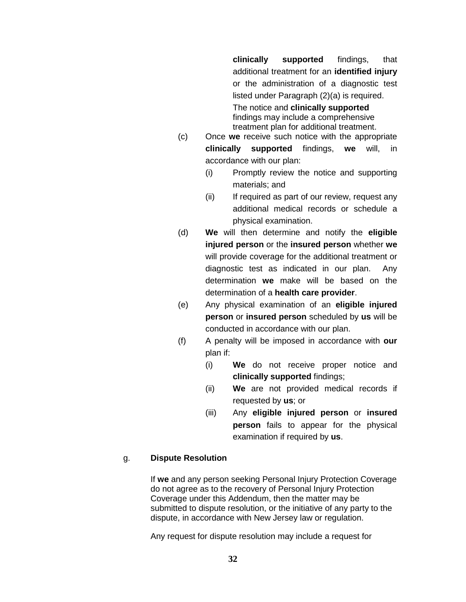**clinically supported** findings, that additional treatment for an **identified injury** or the administration of a diagnostic test listed under Paragraph (2)(a) is required.

The notice and **clinically supported** findings may include a comprehensive treatment plan for additional treatment.

- (c) Once **we** receive such notice with the appropriate **clinically supported** findings, **we** will, in accordance with our plan:
	- (i) Promptly review the notice and supporting materials; and
	- (ii) If required as part of our review, request any additional medical records or schedule a physical examination.
- (d) **We** will then determine and notify the **eligible injured person** or the **insured person** whether **we** will provide coverage for the additional treatment or diagnostic test as indicated in our plan. Any determination **we** make will be based on the determination of a **health care provider**.
- (e) Any physical examination of an **eligible injured person** or **insured person** scheduled by **us** will be conducted in accordance with our plan.
- (f) A penalty will be imposed in accordance with **our** plan if:
	- (i) **We** do not receive proper notice and **clinically supported** findings;
	- (ii) **We** are not provided medical records if requested by **us**; or
	- (iii) Any **eligible injured person** or **insured person** fails to appear for the physical examination if required by **us**.

### g. **Dispute Resolution**

If **we** and any person seeking Personal Injury Protection Coverage do not agree as to the recovery of Personal Injury Protection Coverage under this Addendum, then the matter may be submitted to dispute resolution, or the initiative of any party to the dispute, in accordance with New Jersey law or regulation.

Any request for dispute resolution may include a request for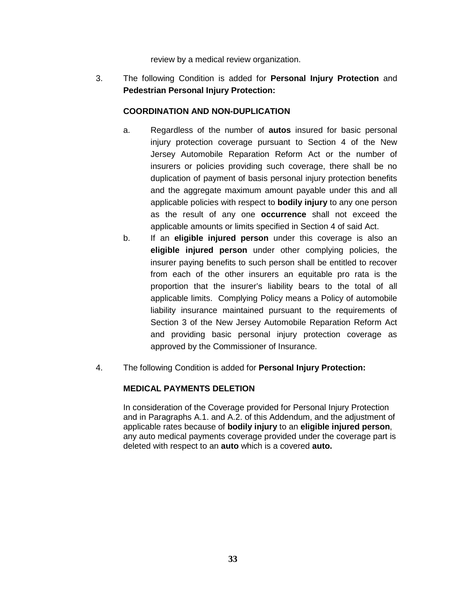review by a medical review organization.

3. The following Condition is added for **Personal Injury Protection** and **Pedestrian Personal Injury Protection:**

## **COORDINATION AND NON-DUPLICATION**

- a. Regardless of the number of **autos** insured for basic personal injury protection coverage pursuant to Section 4 of the New Jersey Automobile Reparation Reform Act or the number of insurers or policies providing such coverage, there shall be no duplication of payment of basis personal injury protection benefits and the aggregate maximum amount payable under this and all applicable policies with respect to **bodily injury** to any one person as the result of any one **occurrence** shall not exceed the applicable amounts or limits specified in Section 4 of said Act.
- b. If an **eligible injured person** under this coverage is also an **eligible injured person** under other complying policies, the insurer paying benefits to such person shall be entitled to recover from each of the other insurers an equitable pro rata is the proportion that the insurer's liability bears to the total of all applicable limits. Complying Policy means a Policy of automobile liability insurance maintained pursuant to the requirements of Section 3 of the New Jersey Automobile Reparation Reform Act and providing basic personal injury protection coverage as approved by the Commissioner of Insurance.
- 4. The following Condition is added for **Personal Injury Protection:**

## **MEDICAL PAYMENTS DELETION**

In consideration of the Coverage provided for Personal Injury Protection and in Paragraphs A.1. and A.2. of this Addendum, and the adjustment of applicable rates because of **bodily injury** to an **eligible injured person**, any auto medical payments coverage provided under the coverage part is deleted with respect to an **auto** which is a covered **auto.**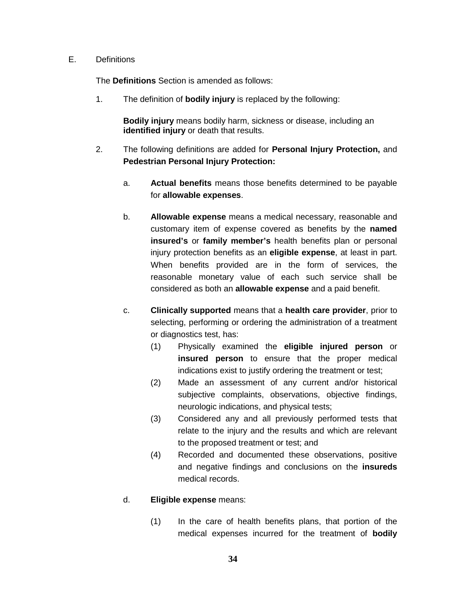#### E. Definitions

The **Definitions** Section is amended as follows:

1. The definition of **bodily injury** is replaced by the following:

**Bodily injury** means bodily harm, sickness or disease, including an **identified injury** or death that results.

- 2. The following definitions are added for **Personal Injury Protection,** and **Pedestrian Personal Injury Protection:**
	- a. **Actual benefits** means those benefits determined to be payable for **allowable expenses**.
	- b. **Allowable expense** means a medical necessary, reasonable and customary item of expense covered as benefits by the **named insured's** or **family member's** health benefits plan or personal injury protection benefits as an **eligible expense**, at least in part. When benefits provided are in the form of services, the reasonable monetary value of each such service shall be considered as both an **allowable expense** and a paid benefit.
	- c. **Clinically supported** means that a **health care provider**, prior to selecting, performing or ordering the administration of a treatment or diagnostics test, has:
		- (1) Physically examined the **eligible injured person** or **insured person** to ensure that the proper medical indications exist to justify ordering the treatment or test;
		- (2) Made an assessment of any current and/or historical subjective complaints, observations, objective findings, neurologic indications, and physical tests;
		- (3) Considered any and all previously performed tests that relate to the injury and the results and which are relevant to the proposed treatment or test; and
		- (4) Recorded and documented these observations, positive and negative findings and conclusions on the **insureds** medical records.

### d. **Eligible expense** means:

(1) In the care of health benefits plans, that portion of the medical expenses incurred for the treatment of **bodily**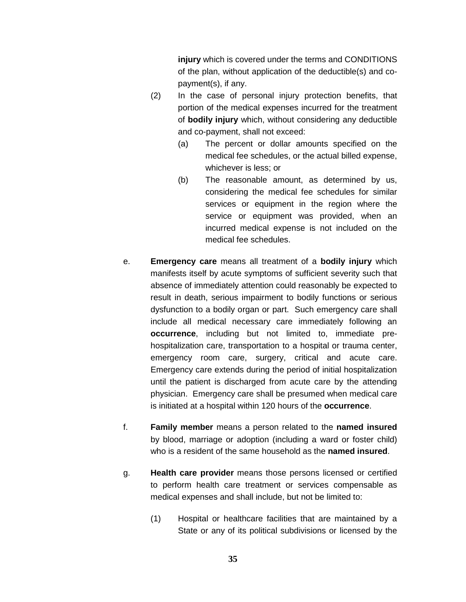**injury** which is covered under the terms and CONDITIONS of the plan, without application of the deductible(s) and copayment(s), if any.

- (2) In the case of personal injury protection benefits, that portion of the medical expenses incurred for the treatment of **bodily injury** which, without considering any deductible and co-payment, shall not exceed:
	- (a) The percent or dollar amounts specified on the medical fee schedules, or the actual billed expense, whichever is less; or
	- (b) The reasonable amount, as determined by us, considering the medical fee schedules for similar services or equipment in the region where the service or equipment was provided, when an incurred medical expense is not included on the medical fee schedules.
- e. **Emergency care** means all treatment of a **bodily injury** which manifests itself by acute symptoms of sufficient severity such that absence of immediately attention could reasonably be expected to result in death, serious impairment to bodily functions or serious dysfunction to a bodily organ or part. Such emergency care shall include all medical necessary care immediately following an **occurrence**, including but not limited to, immediate prehospitalization care, transportation to a hospital or trauma center, emergency room care, surgery, critical and acute care. Emergency care extends during the period of initial hospitalization until the patient is discharged from acute care by the attending physician. Emergency care shall be presumed when medical care is initiated at a hospital within 120 hours of the **occurrence**.
- f. **Family member** means a person related to the **named insured** by blood, marriage or adoption (including a ward or foster child) who is a resident of the same household as the **named insured**.
- g. **Health care provider** means those persons licensed or certified to perform health care treatment or services compensable as medical expenses and shall include, but not be limited to:
	- (1) Hospital or healthcare facilities that are maintained by a State or any of its political subdivisions or licensed by the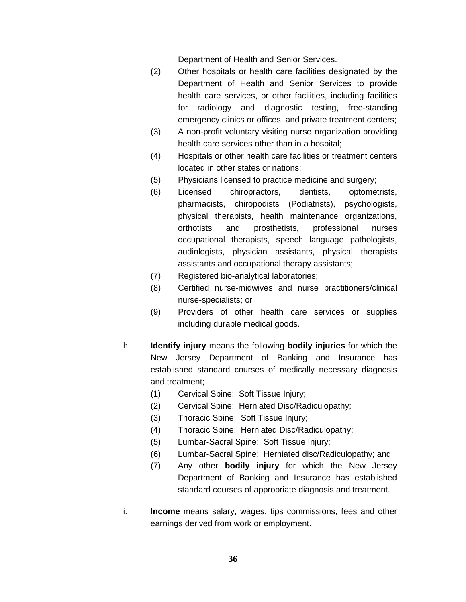Department of Health and Senior Services.

- (2) Other hospitals or health care facilities designated by the Department of Health and Senior Services to provide health care services, or other facilities, including facilities for radiology and diagnostic testing, free-standing emergency clinics or offices, and private treatment centers;
- (3) A non-profit voluntary visiting nurse organization providing health care services other than in a hospital;
- (4) Hospitals or other health care facilities or treatment centers located in other states or nations;
- (5) Physicians licensed to practice medicine and surgery;
- (6) Licensed chiropractors, dentists, optometrists, pharmacists, chiropodists (Podiatrists), psychologists, physical therapists, health maintenance organizations, orthotists and prosthetists, professional nurses occupational therapists, speech language pathologists, audiologists, physician assistants, physical therapists assistants and occupational therapy assistants;
- (7) Registered bio-analytical laboratories;
- (8) Certified nurse-midwives and nurse practitioners/clinical nurse-specialists; or
- (9) Providers of other health care services or supplies including durable medical goods.
- h. **Identify injury** means the following **bodily injuries** for which the New Jersey Department of Banking and Insurance has established standard courses of medically necessary diagnosis and treatment;
	- (1) Cervical Spine: Soft Tissue Injury;
	- (2) Cervical Spine: Herniated Disc/Radiculopathy;
	- (3) Thoracic Spine: Soft Tissue Injury;
	- (4) Thoracic Spine: Herniated Disc/Radiculopathy;
	- (5) Lumbar-Sacral Spine: Soft Tissue Injury;
	- (6) Lumbar-Sacral Spine: Herniated disc/Radiculopathy; and
	- (7) Any other **bodily injury** for which the New Jersey Department of Banking and Insurance has established standard courses of appropriate diagnosis and treatment.
- i. **Income** means salary, wages, tips commissions, fees and other earnings derived from work or employment.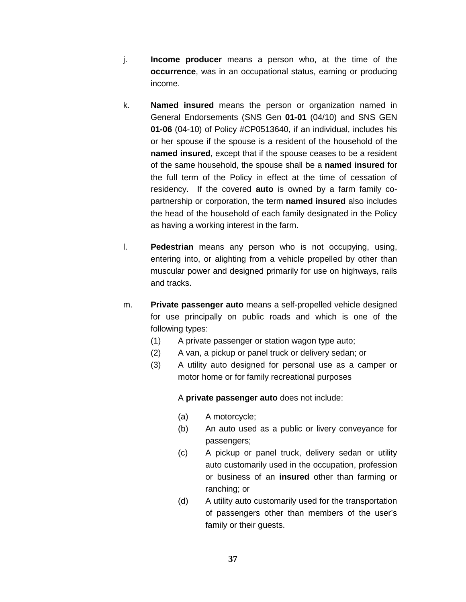- j. **Income producer** means a person who, at the time of the **occurrence**, was in an occupational status, earning or producing income.
- k. **Named insured** means the person or organization named in General Endorsements (SNS Gen **01-01** (04/10) and SNS GEN **01-06** (04-10) of Policy #CP0513640, if an individual, includes his or her spouse if the spouse is a resident of the household of the **named insured**, except that if the spouse ceases to be a resident of the same household, the spouse shall be a **named insured** for the full term of the Policy in effect at the time of cessation of residency. If the covered **auto** is owned by a farm family copartnership or corporation, the term **named insured** also includes the head of the household of each family designated in the Policy as having a working interest in the farm.
- l. **Pedestrian** means any person who is not occupying, using, entering into, or alighting from a vehicle propelled by other than muscular power and designed primarily for use on highways, rails and tracks.
- m. **Private passenger auto** means a self-propelled vehicle designed for use principally on public roads and which is one of the following types:
	- (1) A private passenger or station wagon type auto;
	- (2) A van, a pickup or panel truck or delivery sedan; or
	- (3) A utility auto designed for personal use as a camper or motor home or for family recreational purposes

A **private passenger auto** does not include:

- (a) A motorcycle;
- (b) An auto used as a public or livery conveyance for passengers;
- (c) A pickup or panel truck, delivery sedan or utility auto customarily used in the occupation, profession or business of an **insured** other than farming or ranching; or
- (d) A utility auto customarily used for the transportation of passengers other than members of the user's family or their guests.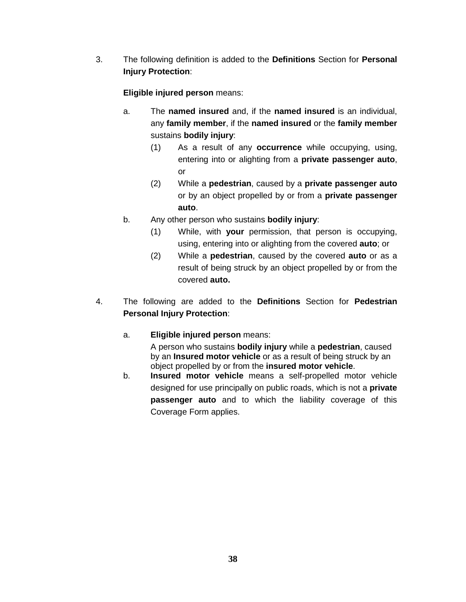3. The following definition is added to the **Definitions** Section for **Personal Injury Protection**:

# **Eligible injured person** means:

- a. The **named insured** and, if the **named insured** is an individual, any **family member**, if the **named insured** or the **family member** sustains **bodily injury**:
	- (1) As a result of any **occurrence** while occupying, using, entering into or alighting from a **private passenger auto**, or
	- (2) While a **pedestrian**, caused by a **private passenger auto** or by an object propelled by or from a **private passenger auto**.
- b. Any other person who sustains **bodily injury**:
	- (1) While, with **your** permission, that person is occupying, using, entering into or alighting from the covered **auto**; or
	- (2) While a **pedestrian**, caused by the covered **auto** or as a result of being struck by an object propelled by or from the covered **auto.**
- 4. The following are added to the **Definitions** Section for **Pedestrian Personal Injury Protection**:
	- a. **Eligible injured person** means:

A person who sustains **bodily injury** while a **pedestrian**, caused by an **Insured motor vehicle** or as a result of being struck by an object propelled by or from the **insured motor vehicle**.

b. **Insured motor vehicle** means a self-propelled motor vehicle designed for use principally on public roads, which is not a **private passenger auto** and to which the liability coverage of this Coverage Form applies.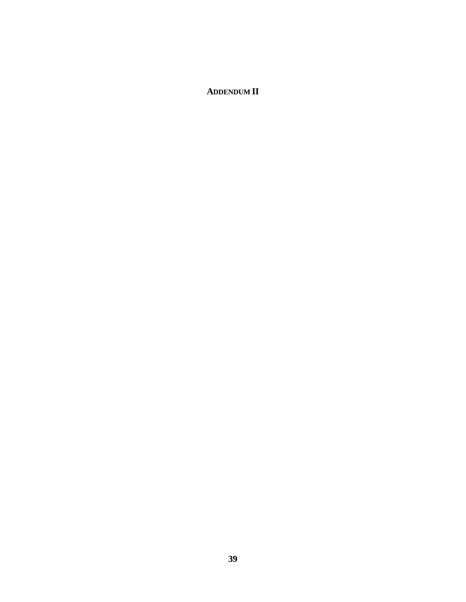# **ADDENDUM II**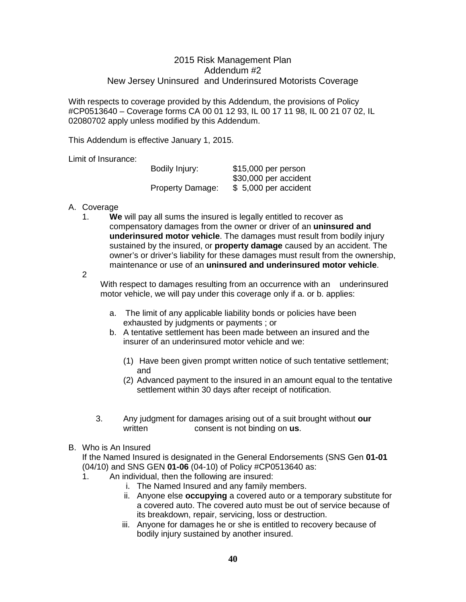### 2015 Risk Management Plan Addendum #2 New Jersey Uninsured and Underinsured Motorists Coverage

With respects to coverage provided by this Addendum, the provisions of Policy #CP0513640 – Coverage forms CA 00 01 12 93, IL 00 17 11 98, IL 00 21 07 02, IL 02080702 apply unless modified by this Addendum.

This Addendum is effective January 1, 2015.

Limit of Insurance:

| Bodily Injury:          | \$15,000 per person<br>\$30,000 per accident |
|-------------------------|----------------------------------------------|
|                         |                                              |
| <b>Property Damage:</b> | \$5,000 per accident                         |

#### A. Coverage

1. **We** will pay all sums the insured is legally entitled to recover as compensatory damages from the owner or driver of an **uninsured and underinsured motor vehicle**. The damages must result from bodily injury sustained by the insured, or **property damage** caused by an accident. The owner's or driver's liability for these damages must result from the ownership, maintenance or use of an **uninsured and underinsured motor vehicle**.

2

With respect to damages resulting from an occurrence with an underinsured motor vehicle, we will pay under this coverage only if a. or b. applies:

- a. The limit of any applicable liability bonds or policies have been exhausted by judgments or payments ; or
- b. A tentative settlement has been made between an insured and the insurer of an underinsured motor vehicle and we:
	- (1) Have been given prompt written notice of such tentative settlement; and
	- (2) Advanced payment to the insured in an amount equal to the tentative settlement within 30 days after receipt of notification.
- 3. Any judgment for damages arising out of a suit brought without **our** consent is not binding on us.
- B. Who is An Insured

If the Named Insured is designated in the General Endorsements (SNS Gen **01-01** (04/10) and SNS GEN **01-06** (04-10) of Policy #CP0513640 as:

- 1. An individual, then the following are insured:
	- i. The Named Insured and any family members.
		- ii. Anyone else **occupying** a covered auto or a temporary substitute for a covered auto. The covered auto must be out of service because of its breakdown, repair, servicing, loss or destruction.
		- iii. Anyone for damages he or she is entitled to recovery because of bodily injury sustained by another insured.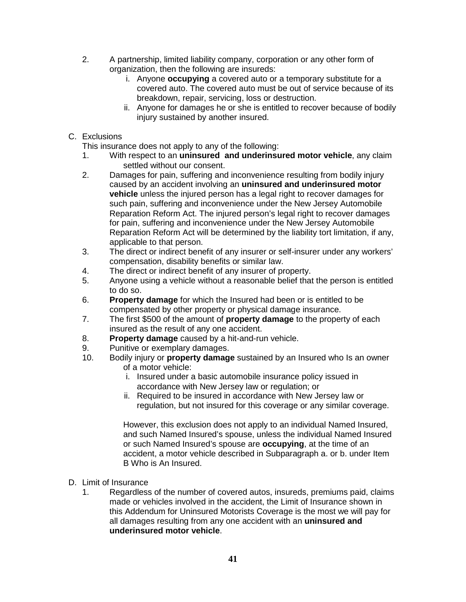- 2. A partnership, limited liability company, corporation or any other form of organization, then the following are insureds:
	- i. Anyone **occupying** a covered auto or a temporary substitute for a covered auto. The covered auto must be out of service because of its breakdown, repair, servicing, loss or destruction.
	- ii. Anyone for damages he or she is entitled to recover because of bodily injury sustained by another insured.

## C. Exclusions

This insurance does not apply to any of the following:

- 1. With respect to an **uninsured and underinsured motor vehicle**, any claim settled without our consent.
- 2. Damages for pain, suffering and inconvenience resulting from bodily injury caused by an accident involving an **uninsured and underinsured motor vehicle** unless the injured person has a legal right to recover damages for such pain, suffering and inconvenience under the New Jersey Automobile Reparation Reform Act. The injured person's legal right to recover damages for pain, suffering and inconvenience under the New Jersey Automobile Reparation Reform Act will be determined by the liability tort limitation, if any, applicable to that person.
- 3. The direct or indirect benefit of any insurer or self-insurer under any workers' compensation, disability benefits or similar law.
- 4. The direct or indirect benefit of any insurer of property.
- 5. Anyone using a vehicle without a reasonable belief that the person is entitled to do so.
- 6. **Property damage** for which the Insured had been or is entitled to be compensated by other property or physical damage insurance.
- 7. The first \$500 of the amount of **property damage** to the property of each insured as the result of any one accident.
- 8. **Property damage** caused by a hit-and-run vehicle.<br>9 Punitive or exemplary damages.
- Punitive or exemplary damages.
- 10. Bodily injury or **property damage** sustained by an Insured who Is an owner of a motor vehicle:
	- i. Insured under a basic automobile insurance policy issued in accordance with New Jersey law or regulation; or
	- ii. Required to be insured in accordance with New Jersey law or regulation, but not insured for this coverage or any similar coverage.

However, this exclusion does not apply to an individual Named Insured, and such Named Insured's spouse, unless the individual Named Insured or such Named Insured's spouse are **occupying**, at the time of an accident, a motor vehicle described in Subparagraph a. or b. under Item B Who is An Insured.

- D. Limit of Insurance
	- 1. Regardless of the number of covered autos, insureds, premiums paid, claims made or vehicles involved in the accident, the Limit of Insurance shown in this Addendum for Uninsured Motorists Coverage is the most we will pay for all damages resulting from any one accident with an **uninsured and underinsured motor vehicle**.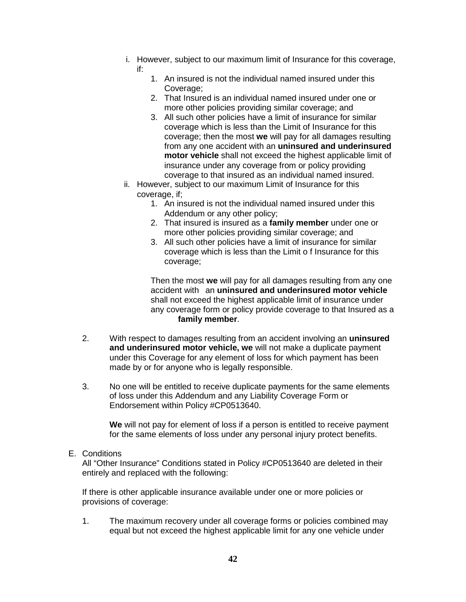- i. However, subject to our maximum limit of Insurance for this coverage, if:
	- 1. An insured is not the individual named insured under this Coverage;
	- 2. That Insured is an individual named insured under one or more other policies providing similar coverage; and
	- 3. All such other policies have a limit of insurance for similar coverage which is less than the Limit of Insurance for this coverage; then the most **we** will pay for all damages resulting from any one accident with an **uninsured and underinsured motor vehicle** shall not exceed the highest applicable limit of insurance under any coverage from or policy providing coverage to that insured as an individual named insured.
- ii. However, subject to our maximum Limit of Insurance for this coverage, if;
	- 1. An insured is not the individual named insured under this Addendum or any other policy;
	- 2. That insured is insured as a **family member** under one or more other policies providing similar coverage; and
	- 3. All such other policies have a limit of insurance for similar coverage which is less than the Limit o f Insurance for this coverage;

Then the most **we** will pay for all damages resulting from any one accident with an **uninsured and underinsured motor vehicle** shall not exceed the highest applicable limit of insurance under any coverage form or policy provide coverage to that Insured as a **family member**.

- 2. With respect to damages resulting from an accident involving an **uninsured and underinsured motor vehicle, we** will not make a duplicate payment under this Coverage for any element of loss for which payment has been made by or for anyone who is legally responsible.
- 3. No one will be entitled to receive duplicate payments for the same elements of loss under this Addendum and any Liability Coverage Form or Endorsement within Policy #CP0513640.

**We** will not pay for element of loss if a person is entitled to receive payment for the same elements of loss under any personal injury protect benefits.

E. Conditions

All "Other Insurance" Conditions stated in Policy #CP0513640 are deleted in their entirely and replaced with the following:

If there is other applicable insurance available under one or more policies or provisions of coverage:

1. The maximum recovery under all coverage forms or policies combined may equal but not exceed the highest applicable limit for any one vehicle under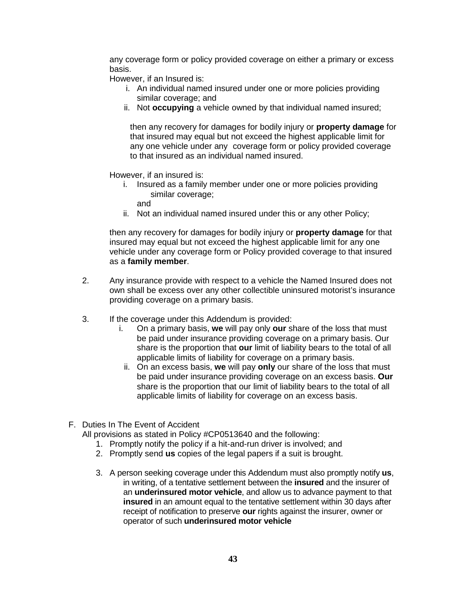any coverage form or policy provided coverage on either a primary or excess basis.

However, if an Insured is:

- i. An individual named insured under one or more policies providing similar coverage; and
- ii. Not **occupying** a vehicle owned by that individual named insured;

then any recovery for damages for bodily injury or **property damage** for that insured may equal but not exceed the highest applicable limit for any one vehicle under any coverage form or policy provided coverage to that insured as an individual named insured.

However, if an insured is:

- i. Insured as a family member under one or more policies providing similar coverage;
	- and
- ii. Not an individual named insured under this or any other Policy;

then any recovery for damages for bodily injury or **property damage** for that insured may equal but not exceed the highest applicable limit for any one vehicle under any coverage form or Policy provided coverage to that insured as a **family member**.

- 2. Any insurance provide with respect to a vehicle the Named Insured does not own shall be excess over any other collectible uninsured motorist's insurance providing coverage on a primary basis.
- 3. If the coverage under this Addendum is provided:
	- i. On a primary basis, **we** will pay only **our** share of the loss that must be paid under insurance providing coverage on a primary basis. Our share is the proportion that **our** limit of liability bears to the total of all applicable limits of liability for coverage on a primary basis.
	- ii. On an excess basis, **we** will pay **only** our share of the loss that must be paid under insurance providing coverage on an excess basis. **Our** share is the proportion that our limit of liability bears to the total of all applicable limits of liability for coverage on an excess basis.
- F. Duties In The Event of Accident

All provisions as stated in Policy #CP0513640 and the following:

- 1. Promptly notify the policy if a hit-and-run driver is involved; and
- 2. Promptly send **us** copies of the legal papers if a suit is brought.
- 3. A person seeking coverage under this Addendum must also promptly notify **us**, in writing, of a tentative settlement between the **insured** and the insurer of an **underinsured motor vehicle**, and allow us to advance payment to that **insured** in an amount equal to the tentative settlement within 30 days after receipt of notification to preserve **our** rights against the insurer, owner or operator of such **underinsured motor vehicle**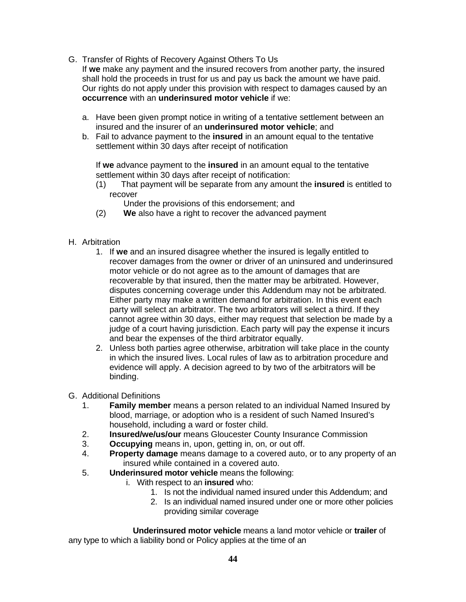G. Transfer of Rights of Recovery Against Others To Us

If **we** make any payment and the insured recovers from another party, the insured shall hold the proceeds in trust for us and pay us back the amount we have paid. Our rights do not apply under this provision with respect to damages caused by an **occurrence** with an **underinsured motor vehicle** if we:

- a. Have been given prompt notice in writing of a tentative settlement between an insured and the insurer of an **underinsured motor vehicle**; and
- b. Fail to advance payment to the **insured** in an amount equal to the tentative settlement within 30 days after receipt of notification

If **we** advance payment to the **insured** in an amount equal to the tentative settlement within 30 days after receipt of notification:

(1) That payment will be separate from any amount the **insured** is entitled to recover

Under the provisions of this endorsement; and

- (2) **We** also have a right to recover the advanced payment
- H. Arbitration
	- 1. If **we** and an insured disagree whether the insured is legally entitled to recover damages from the owner or driver of an uninsured and underinsured motor vehicle or do not agree as to the amount of damages that are recoverable by that insured, then the matter may be arbitrated. However, disputes concerning coverage under this Addendum may not be arbitrated. Either party may make a written demand for arbitration. In this event each party will select an arbitrator. The two arbitrators will select a third. If they cannot agree within 30 days, either may request that selection be made by a judge of a court having jurisdiction. Each party will pay the expense it incurs and bear the expenses of the third arbitrator equally.
	- 2. Unless both parties agree otherwise, arbitration will take place in the county in which the insured lives. Local rules of law as to arbitration procedure and evidence will apply. A decision agreed to by two of the arbitrators will be binding.
- G. Additional Definitions
	- 1. **Family member** means a person related to an individual Named Insured by blood, marriage, or adoption who is a resident of such Named Insured's household, including a ward or foster child.
	- 2. **Insured/we/us/our** means Gloucester County Insurance Commission<br>3. **Occupying** means in upon, getting in, on, or out off.
	- **Occupying** means in, upon, getting in, on, or out off.
	- 4. **Property damage** means damage to a covered auto, or to any property of an insured while contained in a covered auto.
	- 5. **Underinsured motor vehicle** means the following:
		- i. With respect to an **insured** who:
			- 1. Is not the individual named insured under this Addendum; and
			- 2. Is an individual named insured under one or more other policies providing similar coverage

 **Underinsured motor vehicle** means a land motor vehicle or **trailer** of any type to which a liability bond or Policy applies at the time of an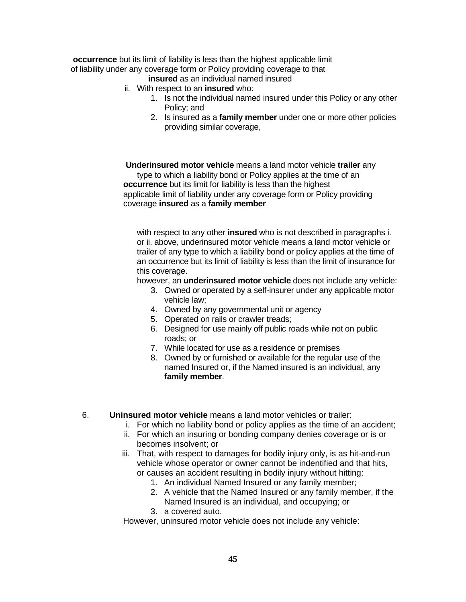**occurrence** but its limit of liability is less than the highest applicable limit of liability under any coverage form or Policy providing coverage to that

**insured** as an individual named insured

- ii. With respect to an **insured** who:
	- 1. Is not the individual named insured under this Policy or any other Policy; and
	- 2. Is insured as a **family member** under one or more other policies providing similar coverage,

 **Underinsured motor vehicle** means a land motor vehicle **trailer** any type to which a liability bond or Policy applies at the time of an **occurrence** but its limit for liability is less than the highest applicable limit of liability under any coverage form or Policy providing coverage **insured** as a **family member**

with respect to any other **insured** who is not described in paragraphs i. or ii. above, underinsured motor vehicle means a land motor vehicle or trailer of any type to which a liability bond or policy applies at the time of an occurrence but its limit of liability is less than the limit of insurance for this coverage.

however, an **underinsured motor vehicle** does not include any vehicle:

- 3. Owned or operated by a self-insurer under any applicable motor vehicle law;
- 4. Owned by any governmental unit or agency
- 5. Operated on rails or crawler treads;
- 6. Designed for use mainly off public roads while not on public roads; or
- 7. While located for use as a residence or premises
- 8. Owned by or furnished or available for the regular use of the named Insured or, if the Named insured is an individual, any **family member**.
- 6. **Uninsured motor vehicle** means a land motor vehicles or trailer:
	- i. For which no liability bond or policy applies as the time of an accident;
	- ii. For which an insuring or bonding company denies coverage or is or becomes insolvent; or
	- iii. That, with respect to damages for bodily injury only, is as hit-and-run vehicle whose operator or owner cannot be indentified and that hits, or causes an accident resulting in bodily injury without hitting:
		- 1. An individual Named Insured or any family member;
		- 2. A vehicle that the Named Insured or any family member, if the Named Insured is an individual, and occupying; or
		- 3. a covered auto.

However, uninsured motor vehicle does not include any vehicle: